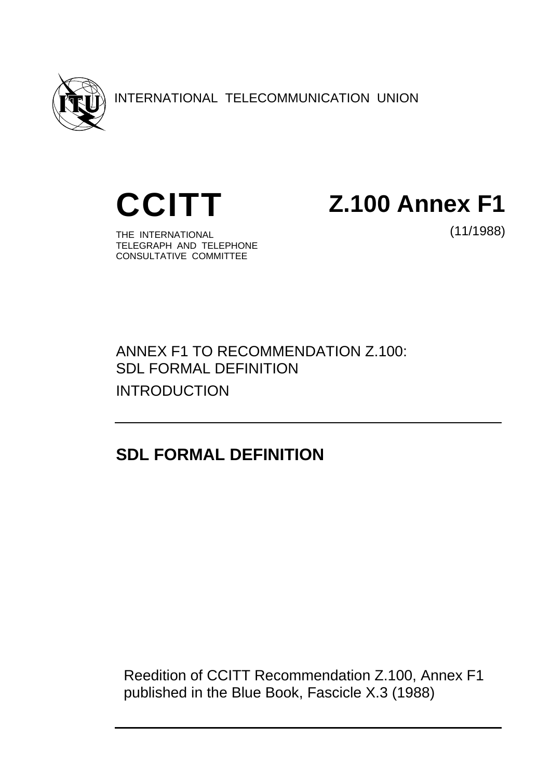

INTERNATIONAL TELECOMMUNICATION UNION



**CCITT Z.100 Annex F1**

THE INTERNATIONAL TELEGRAPH AND TELEPHONE CONSULTATIVE COMMITTEE

(11/1988)

ANNEX F1 TO RECOMMENDATION Z.100: SDL FORMAL DEFINITION INTRODUCTION

**SDL FORMAL DEFINITION** 

 Reedition of CCITT Recommendation Z.100, Annex F1 published in the Blue Book, Fascicle X.3 (1988)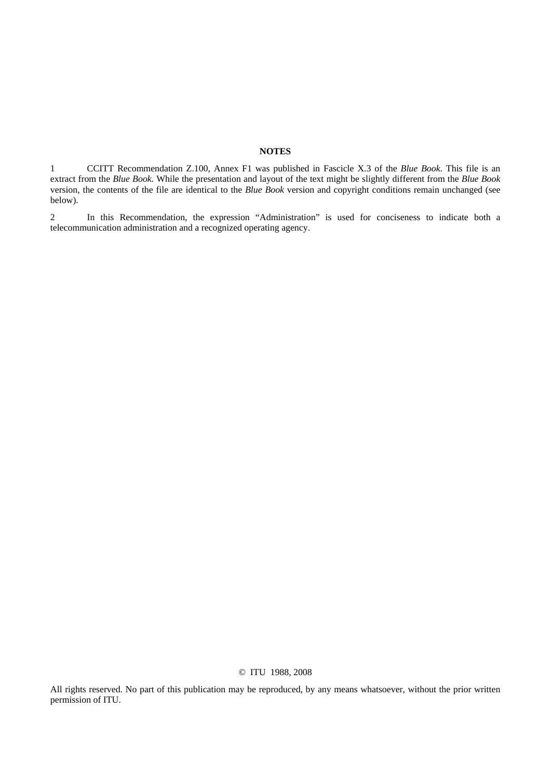## **NOTES**

1 CCITT Recommendation Z.100, Annex F1 was published in Fascicle X.3 of the *Blue Book*. This file is an extract from the *Blue Book.* While the presentation and layout of the text might be slightly different from the *Blue Book*  version, the contents of the file are identical to the *Blue Book* version and copyright conditions remain unchanged (see below).

2 In this Recommendation, the expression "Administration" is used for conciseness to indicate both a telecommunication administration and a recognized operating agency.

### © ITU 1988, 2008

All rights reserved. No part of this publication may be reproduced, by any means whatsoever, without the prior written permission of ITU.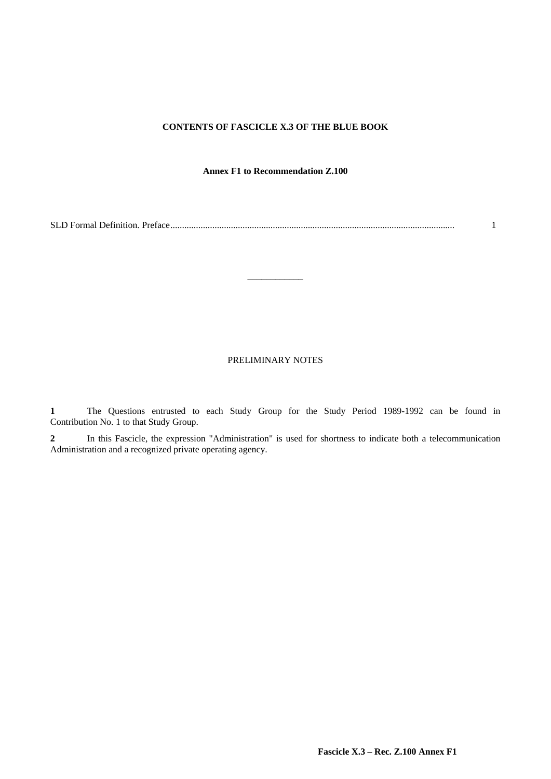## **CONTENTS OF FASCICLE X.3 OF THE BLUE BOOK**

## **Annex F1 to Recommendation Z.100**

SLD Formal Definition. Preface.......................................................................................................................... 1

\_\_\_\_\_\_\_\_\_\_\_\_

## PRELIMINARY NOTES

**1** The Questions entrusted to each Study Group for the Study Period 1989-1992 can be found in Contribution No. 1 to that Study Group.

**2** In this Fascicle, the expression "Administration" is used for shortness to indicate both a telecommunication Administration and a recognized private operating agency.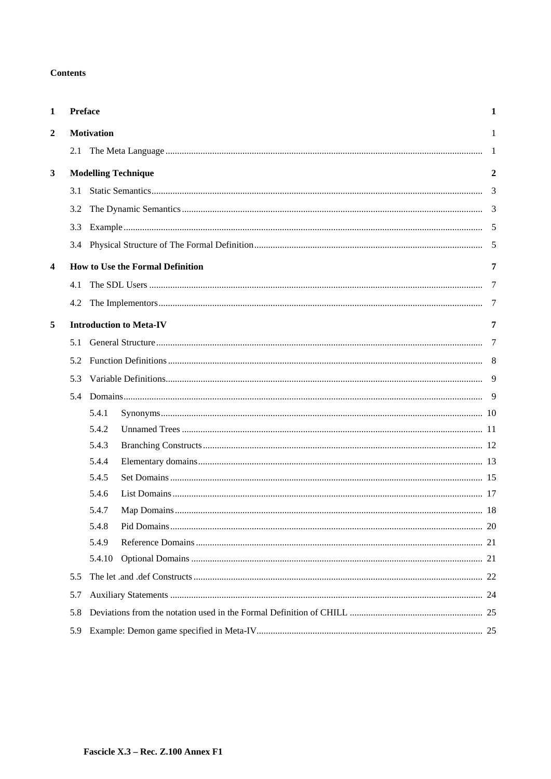## **Contents**

| 1                       | Preface<br>1 |                        |                                         |                |  |  |
|-------------------------|--------------|------------------------|-----------------------------------------|----------------|--|--|
| $\overline{2}$          |              | <b>Motivation</b><br>1 |                                         |                |  |  |
|                         |              |                        |                                         |                |  |  |
| $\mathbf{3}$            |              |                        | <b>Modelling Technique</b>              | $\overline{2}$ |  |  |
|                         | 3.1          |                        |                                         | 3              |  |  |
|                         | 3.2          |                        |                                         |                |  |  |
|                         | 3.3          |                        |                                         |                |  |  |
|                         | 3.4          |                        |                                         |                |  |  |
| $\overline{\mathbf{4}}$ |              |                        | <b>How to Use the Formal Definition</b> | 7              |  |  |
|                         | 4.1          |                        |                                         |                |  |  |
|                         | 4.2          |                        |                                         | 7              |  |  |
| 5                       |              |                        | <b>Introduction to Meta-IV</b>          | 7              |  |  |
|                         | 5.1          |                        |                                         | $\overline{7}$ |  |  |
|                         | 5.2          |                        |                                         |                |  |  |
|                         | 5.3          |                        |                                         |                |  |  |
|                         | 5.4          |                        |                                         |                |  |  |
|                         |              | 5.4.1                  |                                         |                |  |  |
|                         |              | 5.4.2                  |                                         |                |  |  |
|                         |              | 5.4.3                  |                                         |                |  |  |
|                         |              | 5.4.4                  |                                         |                |  |  |
|                         |              | 5.4.5                  |                                         |                |  |  |
|                         |              | 5.4.6                  |                                         |                |  |  |
|                         |              | 5.4.7                  |                                         |                |  |  |
|                         |              | 5.4.8                  |                                         |                |  |  |
|                         |              | 5.4.9                  |                                         |                |  |  |
|                         |              | 5.4.10                 |                                         |                |  |  |
|                         | 5.5          |                        |                                         |                |  |  |
|                         | 5.7          |                        |                                         |                |  |  |
|                         | 5.8          |                        |                                         |                |  |  |
|                         | 5.9          |                        |                                         |                |  |  |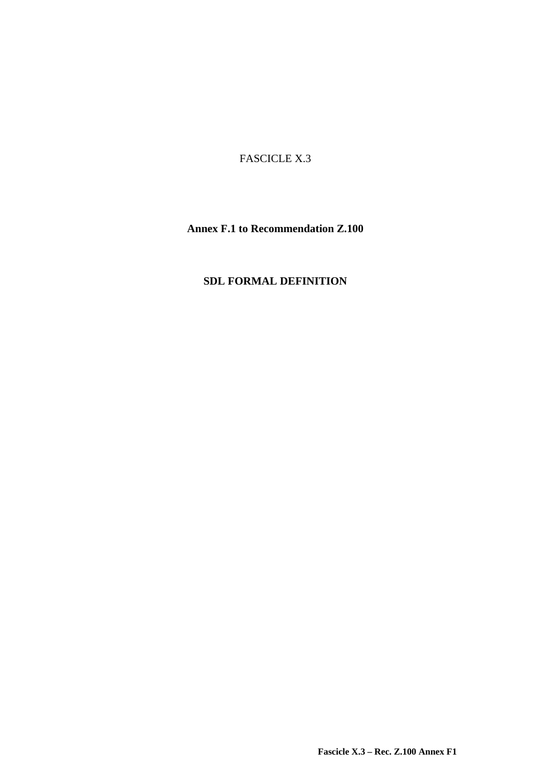FASCICLE X.3

**Annex F.1 to Recommendation Z.100** 

# **SDL FORMAL DEFINITION**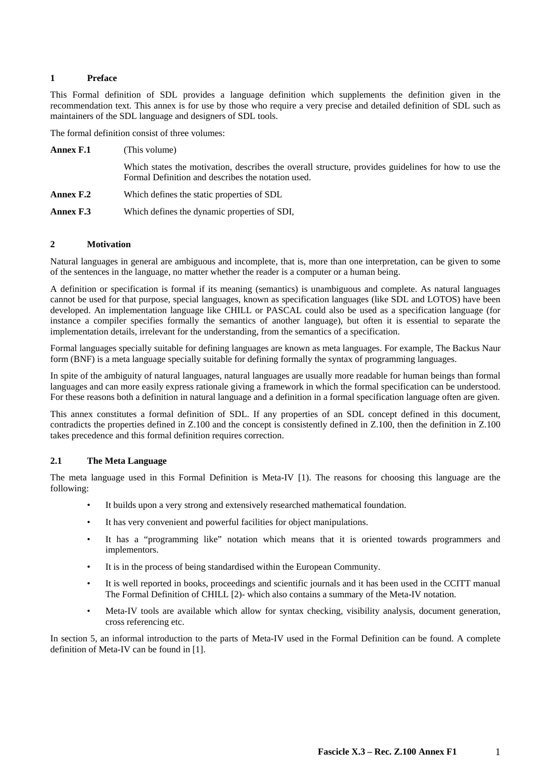## **1 Preface**

This Formal definition of SDL provides a language definition which supplements the definition given in the recommendation text. This annex is for use by those who require a very precise and detailed definition of SDL such as maintainers of the SDL language and designers of SDL tools.

The formal definition consist of three volumes:

| <b>Annex F.1</b> | (This volume)                                                                                                                                              |
|------------------|------------------------------------------------------------------------------------------------------------------------------------------------------------|
|                  | Which states the motivation, describes the overall structure, provides guidelines for how to use the<br>Formal Definition and describes the notation used. |
| <b>Annex F.2</b> | Which defines the static properties of SDL                                                                                                                 |
| <b>Annex F.3</b> | Which defines the dynamic properties of SDI,                                                                                                               |

## **2 Motivation**

Natural languages in general are ambiguous and incomplete, that is, more than one interpretation, can be given to some of the sentences in the language, no matter whether the reader is a computer or a human being.

A definition or specification is formal if its meaning (semantics) is unambiguous and complete. As natural languages cannot be used for that purpose, special languages, known as specification languages (like SDL and LOTOS) have been developed. An implementation language like CHILL or PASCAL could also be used as a specification language (for instance a compiler specifies formally the semantics of another language), but often it is essential to separate the implementation details, irrelevant for the understanding, from the semantics of a specification.

Formal languages specially suitable for defining languages are known as meta languages. For example, The Backus Naur form (BNF) is a meta language specially suitable for defining formally the syntax of programming languages.

In spite of the ambiguity of natural languages, natural languages are usually more readable for human beings than formal languages and can more easily express rationale giving a framework in which the formal specification can be understood. For these reasons both a definition in natural language and a definition in a formal specification language often are given.

This annex constitutes a formal definition of SDL. If any properties of an SDL concept defined in this document, contradicts the properties defined in Z.100 and the concept is consistently defined in Z.100, then the definition in Z.100 takes precedence and this formal definition requires correction.

## **2.1 The Meta Language**

The meta language used in this Formal Definition is Meta-IV [1). The reasons for choosing this language are the following:

- It builds upon a very strong and extensively researched mathematical foundation.
- It has very convenient and powerful facilities for object manipulations.
- It has a "programming like" notation which means that it is oriented towards programmers and implementors.
- It is in the process of being standardised within the European Community.
- It is well reported in books, proceedings and scientific journals and it has been used in the CCITT manual The Formal Definition of CHILL [2)- which also contains a summary of the Meta-IV notation.
- Meta-IV tools are available which allow for syntax checking, visibility analysis, document generation, cross referencing etc.

In section 5, an informal introduction to the parts of Meta-IV used in the Formal Definition can be found. A complete definition of Meta-IV can be found in [1].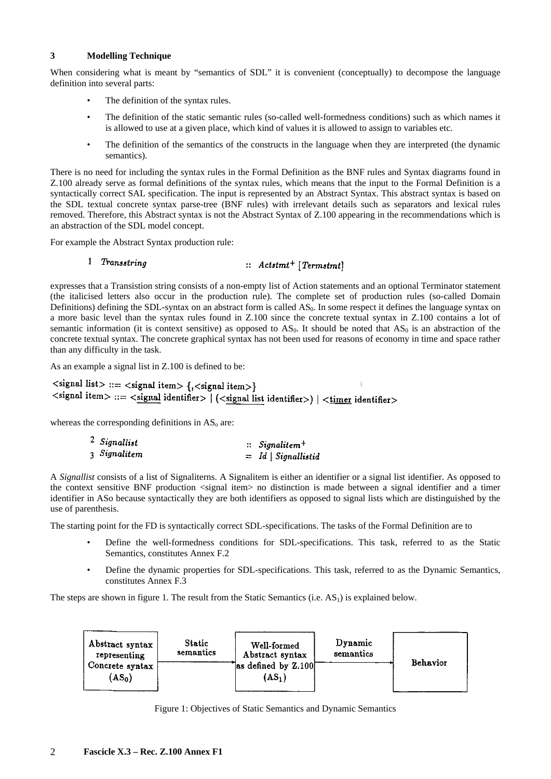## **3 Modelling Technique**

When considering what is meant by "semantics of SDL" it is convenient (conceptually) to decompose the language definition into several parts:

- The definition of the syntax rules.
- The definition of the static semantic rules (so-called well-formedness conditions) such as which names it is allowed to use at a given place, which kind of values it is allowed to assign to variables etc.
- The definition of the semantics of the constructs in the language when they are interpreted (the dynamic semantics).

There is no need for including the syntax rules in the Formal Definition as the BNF rules and Syntax diagrams found in Z.100 already serve as formal definitions of the syntax rules, which means that the input to the Formal Definition is a syntactically correct SAL specification. The input is represented by an Abstract Syntax. This abstract syntax is based on the SDL textual concrete syntax parse-tree (BNF rules) with irrelevant details such as separators and lexical rules removed. Therefore, this Abstract syntax is not the Abstract Syntax of Z.100 appearing in the recommendations which is an abstraction of the SDL model concept.

For example the Abstract Syntax production rule:

#### 1 Transstring  $\therefore$  Actstmt<sup>+</sup> [Termstmt]

expresses that a Transistion string consists of a non-empty list of Action statements and an optional Terminator statement (the italicised letters also occur in the production rule). The complete set of production rules (so-called Domain Definitions) defining the SDL-syntax on an abstract form is called AS<sub>0</sub>. In some respect it defines the language syntax on a more basic level than the syntax rules found in Z.100 since the concrete textual syntax in Z.100 contains a lot of semantic information (it is context sensitive) as opposed to  $AS_0$ . It should be noted that  $AS_0$  is an abstraction of the concrete textual syntax. The concrete graphical syntax has not been used for reasons of economy in time and space rather than any difficulty in the task.

As an example a signal list in Z.100 is defined to be:

```
\lesignal list> ::= \lesignal item> {, \lesignal item>}
<signal item> ::= <signal identifier> | (<signal list identifier>) | <timer identifier>
```
whereas the corresponding definitions in  $AS<sub>o</sub>$  are:

| $2$ Signallist | $\therefore$ Signalitem <sup>+</sup> |                     |  |
|----------------|--------------------------------------|---------------------|--|
| 3 Signalitem   |                                      | $=$ Id Signallistid |  |

A *Signallist* consists of a list of Signaliterns. A Signalitem is either an identifier or a signal list identifier. As opposed to the context sensitive BNF production <signal item> no distinction is made between a signal identifier and a timer identifier in ASo because syntactically they are both identifiers as opposed to signal lists which are distinguished by the use of parenthesis.

The starting point for the FD is syntactically correct SDL-specifications. The tasks of the Formal Definition are to

- Define the well-formedness conditions for SDL-specifications. This task, referred to as the Static Semantics, constitutes Annex F.2
- Define the dynamic properties for SDL-specifications. This task, referred to as the Dynamic Semantics, constitutes Annex F.3

The steps are shown in figure 1. The result from the Static Semantics (i.e.  $AS<sub>1</sub>$ ) is explained below.



Figure 1: Objectives of Static Semantics and Dynamic Semantics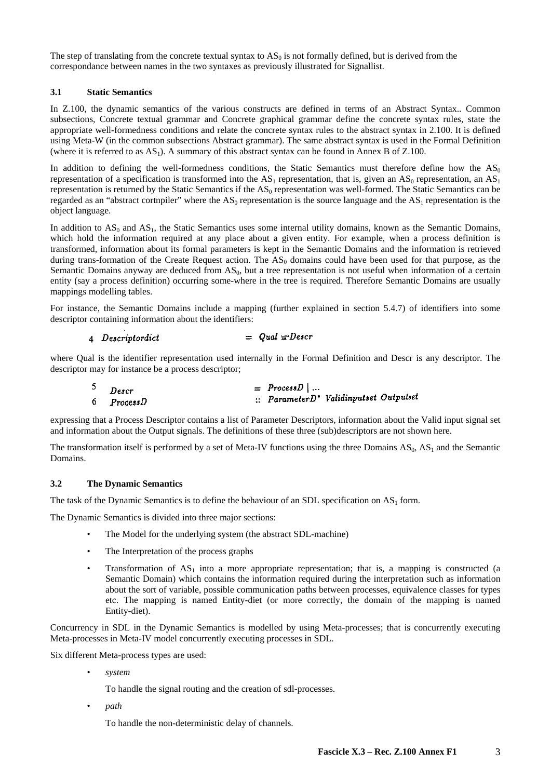The step of translating from the concrete textual syntax to  $AS_0$  is not formally defined, but is derived from the correspondance between names in the two syntaxes as previously illustrated for Signallist.

## **3.1 Static Semantics**

In Z.100, the dynamic semantics of the various constructs are defined in terms of an Abstract Syntax.. Common subsections, Concrete textual grammar and Concrete graphical grammar define the concrete syntax rules, state the appropriate well-formedness conditions and relate the concrete syntax rules to the abstract syntax in 2.100. It is defined using Meta-W (in the common subsections Abstract grammar). The same abstract syntax is used in the Formal Definition (where it is referred to as  $AS<sub>1</sub>$ ). A summary of this abstract syntax can be found in Annex B of Z.100.

In addition to defining the well-formedness conditions, the Static Semantics must therefore define how the  $AS<sub>0</sub>$ representation of a specification is transformed into the  $AS_1$  representation, that is, given an  $AS_0$  representation, an  $AS_1$ representation is returned by the Static Semantics if the  $AS<sub>0</sub>$  representation was well-formed. The Static Semantics can be regarded as an "abstract cortnpiler" where the  $AS_0$  representation is the source language and the  $AS_1$  representation is the object language.

In addition to  $AS_0$  and  $AS_1$ , the Static Semantics uses some internal utility domains, known as the Semantic Domains, which hold the information required at any place about a given entity. For example, when a process definition is transformed, information about its formal parameters is kept in the Semantic Domains and the information is retrieved during trans-formation of the Create Request action. The  $AS<sub>0</sub>$  domains could have been used for that purpose, as the Semantic Domains anyway are deduced from  $AS<sub>0</sub>$ , but a tree representation is not useful when information of a certain entity (say a process definition) occurring some-where in the tree is required. Therefore Semantic Domains are usually mappings modelling tables.

For instance, the Semantic Domains include a mapping (further explained in section 5.4.7) of identifiers into some descriptor containing information about the identifiers:

#### $=$  Oual  $\exists$  Descr 4 Descriptordict

where Qual is the identifier representation used internally in the Formal Definition and Descr is any descriptor. The descriptor may for instance be a process descriptor;

| $^5$ Descr | $= ProcessD$                           |
|------------|----------------------------------------|
| 6 ProcessD | :: ParameterD* Validinputset Outputset |

expressing that a Process Descriptor contains a list of Parameter Descriptors, information about the Valid input signal set and information about the Output signals. The definitions of these three (sub)descriptors are not shown here.

The transformation itself is performed by a set of Meta-IV functions using the three Domains  $AS_0$ ,  $AS_1$  and the Semantic Domains.

## **3.2 The Dynamic Semantics**

The task of the Dynamic Semantics is to define the behaviour of an SDL specification on  $AS<sub>1</sub>$  form.

The Dynamic Semantics is divided into three major sections:

- The Model for the underlying system (the abstract SDL-machine)
- The Interpretation of the process graphs
- Transformation of  $AS_1$  into a more appropriate representation; that is, a mapping is constructed (a Semantic Domain) which contains the information required during the interpretation such as information about the sort of variable, possible communication paths between processes, equivalence classes for types etc. The mapping is named Entity-diet (or more correctly, the domain of the mapping is named Entity-diet).

Concurrency in SDL in the Dynamic Semantics is modelled by using Meta-processes; that is concurrently executing Meta-processes in Meta-IV model concurrently executing processes in SDL.

Six different Meta-process types are used:

• *system*

To handle the signal routing and the creation of sdl-processes.

• *path*

To handle the non-deterministic delay of channels.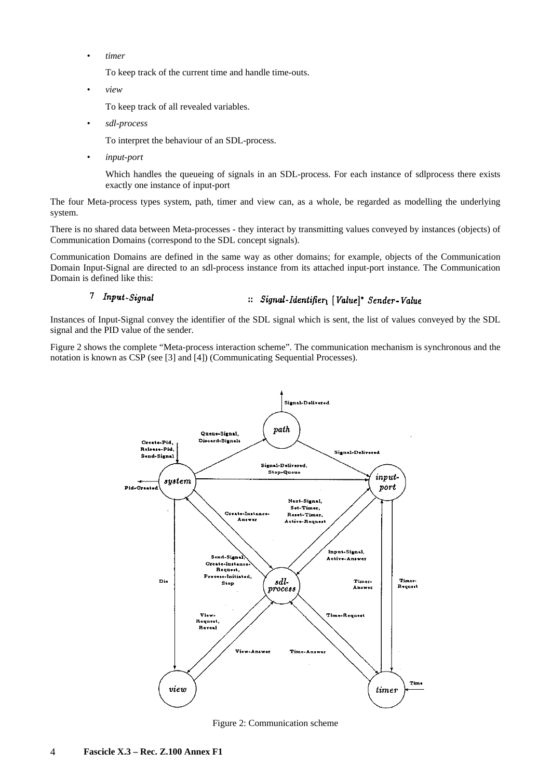• *timer*

To keep track of the current time and handle time-outs.

• *view*

To keep track of all revealed variables.

• *sdl-process* 

To interpret the behaviour of an SDL-process.

• *input-port* 

Which handles the queueing of signals in an SDL-process. For each instance of sdlprocess there exists exactly one instance of input-port

The four Meta-process types system, path, timer and view can, as a whole, be regarded as modelling the underlying system.

There is no shared data between Meta-processes - they interact by transmitting values conveyed by instances (objects) of Communication Domains (correspond to the SDL concept signals).

Communication Domains are defined in the same way as other domains; for example, objects of the Communication Domain Input-Signal are directed to an sdl-process instance from its attached input-port instance. The Communication Domain is defined like this:

#### 7 Input-Signal :: Signal-Identifier1 [Value]\* Sender-Value

Instances of Input-Signal convey the identifier of the SDL signal which is sent, the list of values conveyed by the SDL signal and the PID value of the sender.

Figure 2 shows the complete "Meta-process interaction scheme". The communication mechanism is synchronous and the notation is known as CSP (see [3] and [4]) (Communicating Sequential Processes).



Figure 2: Communication scheme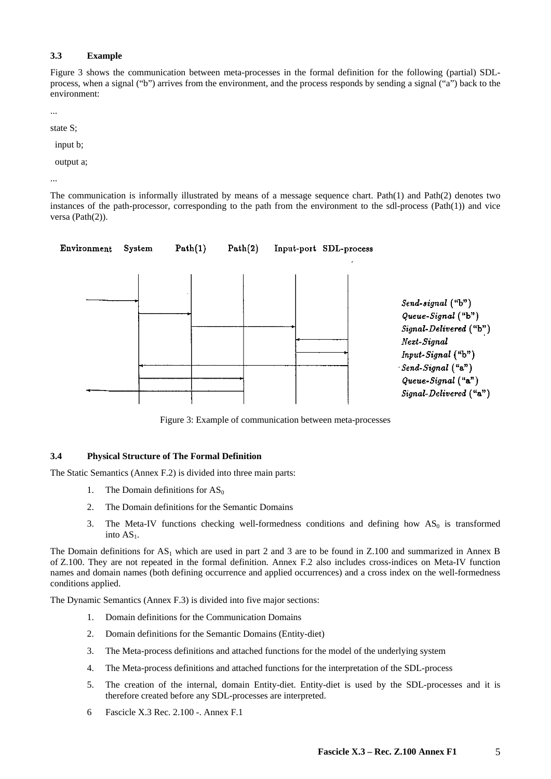## **3.3 Example**

Figure 3 shows the communication between meta-processes in the formal definition for the following (partial) SDLprocess, when a signal ("b") arrives from the environment, and the process responds by sending a signal ("a") back to the environment:

...

state S;

input b;

output a;

...

The communication is informally illustrated by means of a message sequence chart. Path(1) and Path(2) denotes two instances of the path-processor, corresponding to the path from the environment to the sdl-process (Path(1)) and vice versa (Path(2)).



Figure 3: Example of communication between meta-processes

## **3.4 Physical Structure of The Formal Definition**

The Static Semantics (Annex F.2) is divided into three main parts:

- 1. The Domain definitions for  $AS_0$
- 2. The Domain definitions for the Semantic Domains
- 3. The Meta-IV functions checking well-formedness conditions and defining how  $AS_0$  is transformed into  $AS<sub>1</sub>$ .

The Domain definitions for  $AS_1$  which are used in part 2 and 3 are to be found in Z.100 and summarized in Annex B of Z.100. They are not repeated in the formal definition. Annex F.2 also includes cross-indices on Meta-IV function names and domain names (both defining occurrence and applied occurrences) and a cross index on the well-formedness conditions applied.

The Dynamic Semantics (Annex F.3) is divided into five major sections:

- 1. Domain definitions for the Communication Domains
- 2. Domain definitions for the Semantic Domains (Entity-diet)
- 3. The Meta-process definitions and attached functions for the model of the underlying system
- 4. The Meta-process definitions and attached functions for the interpretation of the SDL-process
- 5. The creation of the internal, domain Entity-diet. Entity-diet is used by the SDL-processes and it is therefore created before any SDL-processes are interpreted.
- 6 Fascicle X.3 Rec. 2.100 -. Annex F.1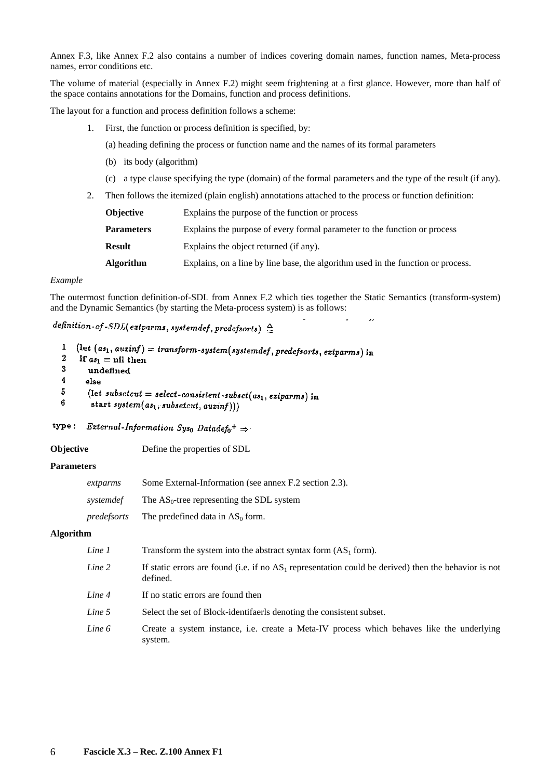Annex F.3, like Annex F.2 also contains a number of indices covering domain names, function names, Meta-process names, error conditions etc.

The volume of material (especially in Annex F.2) might seem frightening at a first glance. However, more than half of the space contains annotations for the Domains, function and process definitions.

The layout for a function and process definition follows a scheme:

1. First, the function or process definition is specified, by:

(a) heading defining the process or function name and the names of its formal parameters

- (b) its body (algorithm)
- (c) a type clause specifying the type (domain) of the formal parameters and the type of the result (if any).

 $\overline{\phantom{a}}$ 

2. Then follows the itemized (plain english) annotations attached to the process or function definition:

| <b>Objective</b> |                   | Explains the purpose of the function or process                                  |  |
|------------------|-------------------|----------------------------------------------------------------------------------|--|
|                  | <b>Parameters</b> | Explains the purpose of every formal parameter to the function or process        |  |
|                  | <b>Result</b>     | Explains the object returned (if any).                                           |  |
|                  | <b>Algorithm</b>  | Explains, on a line by line base, the algorithm used in the function or process. |  |

#### *Example*

 $\overline{a}$  $\overline{a}$ 

The outermost function definition-of-SDL from Annex F.2 which ties together the Static Semantics (transform-system) and the Dynamic Semantics (by starting the Meta-process system) is as follows:

## definition-of-SDL(extparms, systemdef, predefsorts)  $\triangleq$

| $\frac{1}{1}$ (let (as <sub>1</sub> , auxinf) = transform-system(systemdef, predefsorts, extparms) in |  |  |  |
|-------------------------------------------------------------------------------------------------------|--|--|--|
|                                                                                                       |  |  |  |

- $\boldsymbol{2}$ if  $as_1 = \text{nil}$  then  $\boldsymbol{3}$
- undefined
- $\overline{\mathbf{4}}$ else  $\overline{5}$
- (let subsetcut = select-consistent-subset( $as_1$ , extparms) in
- $6\phantom{1}$ start system $(as_1, subsetcut, auxinf)))$

## type: External-Information Sys<sub>0</sub> Datadef<sub>0</sub><sup>+</sup>  $\Rightarrow$

#### **Objective** Define the properties of SDL

### **Parameters**

| extparms    | Some External-Information (see annex F.2 section 2.3). |
|-------------|--------------------------------------------------------|
| systemdef   | The $AS_0$ -tree representing the SDL system           |
| predefsorts | The predefined data in $AS0$ form.                     |

#### **Algorithm**

| Line 1 | Transform the system into the abstract syntax form $(AS_1$ form).                                                   |
|--------|---------------------------------------------------------------------------------------------------------------------|
| Line 2 | If static errors are found (i.e. if no $AS_1$ representation could be derived) then the behavior is not<br>defined. |
| Line 4 | If no static errors are found then                                                                                  |
| Line 5 | Select the set of Block-identifaerls denoting the consistent subset.                                                |
| Line 6 | Create a system instance, i.e. create a Meta-IV process which behaves like the underlying<br>system.                |
|        |                                                                                                                     |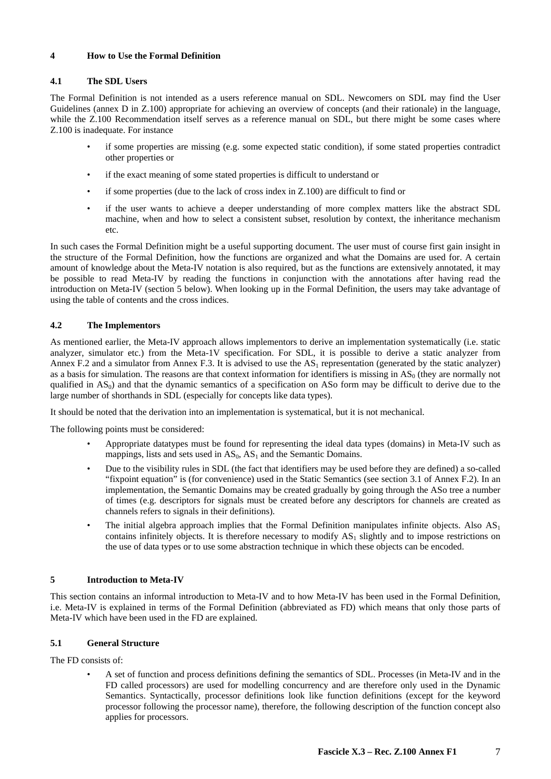## **4 How to Use the Formal Definition**

## **4.1 The SDL Users**

The Formal Definition is not intended as a users reference manual on SDL. Newcomers on SDL may find the User Guidelines (annex D in Z.100) appropriate for achieving an overview of concepts (and their rationale) in the language, while the Z.100 Recommendation itself serves as a reference manual on SDL, but there might be some cases where Z.100 is inadequate. For instance

- if some properties are missing (e.g. some expected static condition), if some stated properties contradict other properties or
- if the exact meaning of some stated properties is difficult to understand or
- if some properties (due to the lack of cross index in  $Z.100$ ) are difficult to find or
- if the user wants to achieve a deeper understanding of more complex matters like the abstract SDL machine, when and how to select a consistent subset, resolution by context, the inheritance mechanism etc.

In such cases the Formal Definition might be a useful supporting document. The user must of course first gain insight in the structure of the Formal Definition, how the functions are organized and what the Domains are used for. A certain amount of knowledge about the Meta-IV notation is also required, but as the functions are extensively annotated, it may be possible to read Meta-IV by reading the functions in conjunction with the annotations after having read the introduction on Meta-IV (section 5 below). When looking up in the Formal Definition, the users may take advantage of using the table of contents and the cross indices.

## **4.2 The Implementors**

As mentioned earlier, the Meta-IV approach allows implementors to derive an implementation systematically (i.e. static analyzer, simulator etc.) from the Meta-1V specification. For SDL, it is possible to derive a static analyzer from Annex F.2 and a simulator from Annex F.3. It is advised to use the  $AS<sub>1</sub>$  representation (generated by the static analyzer) as a basis for simulation. The reasons are that context information for identifiers is missing in  $AS<sub>0</sub>$  (they are normally not qualified in  $AS<sub>0</sub>$ ) and that the dynamic semantics of a specification on ASo form may be difficult to derive due to the large number of shorthands in SDL (especially for concepts like data types).

It should be noted that the derivation into an implementation is systematical, but it is not mechanical.

The following points must be considered:

- Appropriate datatypes must be found for representing the ideal data types (domains) in Meta-IV such as mappings, lists and sets used in  $AS_0$ ,  $AS_1$  and the Semantic Domains.
- Due to the visibility rules in SDL (the fact that identifiers may be used before they are defined) a so-called "fixpoint equation" is (for convenience) used in the Static Semantics (see section 3.1 of Annex F.2). In an implementation, the Semantic Domains may be created gradually by going through the ASo tree a number of times (e.g. descriptors for signals must be created before any descriptors for channels are created as channels refers to signals in their definitions).
- The initial algebra approach implies that the Formal Definition manipulates infinite objects. Also  $AS<sub>1</sub>$ contains infinitely objects. It is therefore necessary to modify  $AS_1$  slightly and to impose restrictions on the use of data types or to use some abstraction technique in which these objects can be encoded.

## **5 Introduction to Meta-IV**

This section contains an informal introduction to Meta-IV and to how Meta-IV has been used in the Formal Definition, i.e. Meta-IV is explained in terms of the Formal Definition (abbreviated as FD) which means that only those parts of Meta-IV which have been used in the FD are explained.

## **5.1 General Structure**

The FD consists of:

 • A set of function and process definitions defining the semantics of SDL. Processes (in Meta-IV and in the FD called processors) are used for modelling concurrency and are therefore only used in the Dynamic Semantics. Syntactically, processor definitions look like function definitions (except for the keyword processor following the processor name), therefore, the following description of the function concept also applies for processors.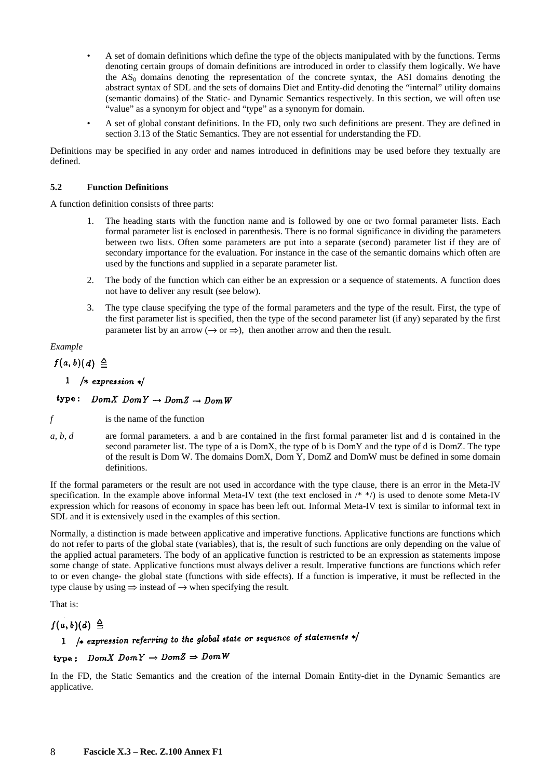- A set of domain definitions which define the type of the objects manipulated with by the functions. Terms denoting certain groups of domain definitions are introduced in order to classify them logically. We have the  $AS<sub>0</sub>$  domains denoting the representation of the concrete syntax, the ASI domains denoting the abstract syntax of SDL and the sets of domains Diet and Entity-did denoting the "internal" utility domains (semantic domains) of the Static- and Dynamic Semantics respectively. In this section, we will often use "value" as a synonym for object and "type" as a synonym for domain.
- A set of global constant definitions. In the FD, only two such definitions are present. They are defined in section 3.13 of the Static Semantics. They are not essential for understanding the FD.

Definitions may be specified in any order and names introduced in definitions may be used before they textually are defined.

### **5.2 Function Definitions**

A function definition consists of three parts:

- The heading starts with the function name and is followed by one or two formal parameter lists. Each formal parameter list is enclosed in parenthesis. There is no formal significance in dividing the parameters between two lists. Often some parameters are put into a separate (second) parameter list if they are of secondary importance for the evaluation. For instance in the case of the semantic domains which often are used by the functions and supplied in a separate parameter list.
- 2. The body of the function which can either be an expression or a sequence of statements. A function does not have to deliver any result (see below).
- 3. The type clause specifying the type of the formal parameters and the type of the result. First, the type of the first parameter list is specified, then the type of the second parameter list (if any) separated by the first parameter list by an arrow ( $\rightarrow$  or  $\Rightarrow$ ), then another arrow and then the result.

## *Example*

## $f(a, b)$  $(d) \triangleq$

## 1 /\* expression  $*$ /

## type:  $Dom X Dom Y \rightarrow Dom Z \rightarrow Dom W$

*f* is the name of the function

*a, b, d* are formal parameters. a and b are contained in the first formal parameter list and d is contained in the second parameter list. The type of a is DomX, the type of b is DomY and the type of d is DomZ. The type of the result is Dom W. The domains DomX, Dom Y, DomZ and DomW must be defined in some domain definitions.

If the formal parameters or the result are not used in accordance with the type clause, there is an error in the Meta-IV specification. In the example above informal Meta-IV text (the text enclosed in  $/*$  \*/) is used to denote some Meta-IV expression which for reasons of economy in space has been left out. Informal Meta-IV text is similar to informal text in SDL and it is extensively used in the examples of this section.

Normally, a distinction is made between applicative and imperative functions. Applicative functions are functions which do not refer to parts of the global state (variables), that is, the result of such functions are only depending on the value of the applied actual parameters. The body of an applicative function is restricted to be an expression as statements impose some change of state. Applicative functions must always deliver a result. Imperative functions are functions which refer to or even change- the global state (functions with side effects). If a function is imperative, it must be reflected in the type clause by using  $\Rightarrow$  instead of  $\rightarrow$  when specifying the result.

That is:

## $f(a, b)(d) \triangleq$

# 1 /\* expression referring to the global state or sequence of statements  $*/$

## type:  $Dom X Dom Y \rightarrow Dom Z \Rightarrow Dom W$

In the FD, the Static Semantics and the creation of the internal Domain Entity-diet in the Dynamic Semantics are applicative.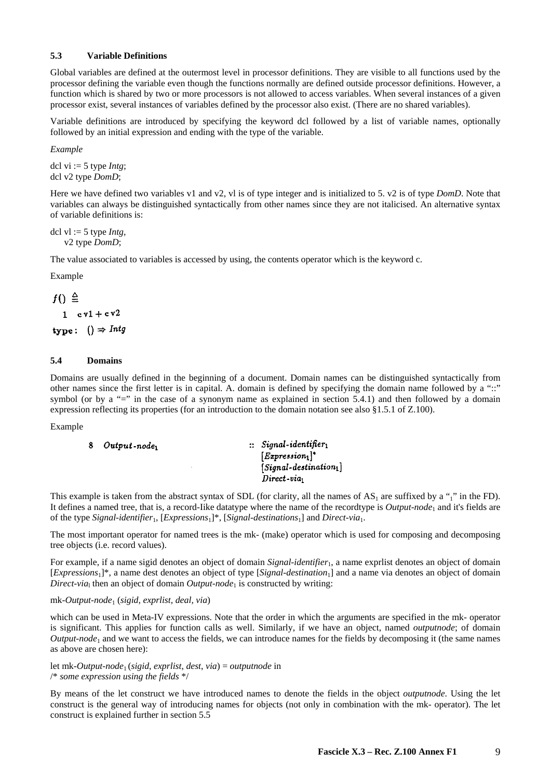## **5.3 Variable Definitions**

Global variables are defined at the outermost level in processor definitions. They are visible to all functions used by the processor defining the variable even though the functions normally are defined outside processor definitions. However, a function which is shared by two or more processors is not allowed to access variables. When several instances of a given processor exist, several instances of variables defined by the processor also exist. (There are no shared variables).

Variable definitions are introduced by specifying the keyword dcl followed by a list of variable names, optionally followed by an initial expression and ending with the type of the variable.

*Example* 

dcl vi := 5 type *Intg*; dcl v2 type *DomD*;

Here we have defined two variables v1 and v2, vl is of type integer and is initialized to 5. v2 is of type *DomD*. Note that variables can always be distinguished syntactically from other names since they are not italicised. An alternative syntax of variable definitions is:

dcl vl := 5 type *Intg*, v2 type *DomD*;

The value associated to variables is accessed by using, the contents operator which is the keyword c.

Example

 $f() \triangleq$  $1$   $cvl + cv2$ type:  $() \Rightarrow Intg$ 

## **5.4 Domains**

Domains are usually defined in the beginning of a document. Domain names can be distinguished syntactically from other names since the first letter is in capital. A. domain is defined by specifying the domain name followed by a "::" symbol (or by a "=" in the case of a synonym name as explained in section 5.4.1) and then followed by a domain expression reflecting its properties (for an introduction to the domain notation see also §1.5.1 of Z.100).

Example

|  | Output-node <sub>1</sub> | $\therefore$ Signal-identifier $_1$ |
|--|--------------------------|-------------------------------------|
|  |                          | $[Expression1]$ <sup>*</sup>        |
|  |                          | $[Signal\text{-}destination_1]$     |
|  |                          | $Direct - via$                      |

This example is taken from the abstract syntax of SDL (for clarity, all the names of  $AS_1$  are suffixed by a "<sub>1</sub>" in the FD). It defines a named tree, that is, a record-Iike datatype where the name of the recordtype is *Output-node*<sub>1</sub> and it's fields are of the type *Signal-identifier*1, [*Expressions*1]\*, [*Signal-destinations*1] and *Direct-via*1.

The most important operator for named trees is the mk- (make) operator which is used for composing and decomposing tree objects (i.e. record values).

For example, if a name sigid denotes an object of domain *Signal-identifier*<sub>1</sub>, a name exprlist denotes an object of domain [*Expressions*1]\*, a name dest denotes an object of type [*Signal-destination*1] and a name via denotes an object of domain *Direct-via*<sub>l</sub> then an object of domain *Output-node*<sub>1</sub> is constructed by writing:

## mk-*Output*-*node*1 (*sigid, exprlist, deal, via*)

which can be used in Meta-IV expressions. Note that the order in which the arguments are specified in the mk- operator is significant. This applies for function calls as well. Similarly, if we have an object, named *outputnode*; of domain *Output-node*1 and we want to access the fields, we can introduce names for the fields by decomposing it (the same names as above are chosen here):

let mk-*Output-node*1 (*sigid*, *exprlist*, *dest*, *via*) = *outputnode* in /\* *some expression using the fields* \*/

By means of the let construct we have introduced names to denote the fields in the object *outputnode*. Using the let construct is the general way of introducing names for objects (not only in combination with the mk- operator). The let construct is explained further in section 5.5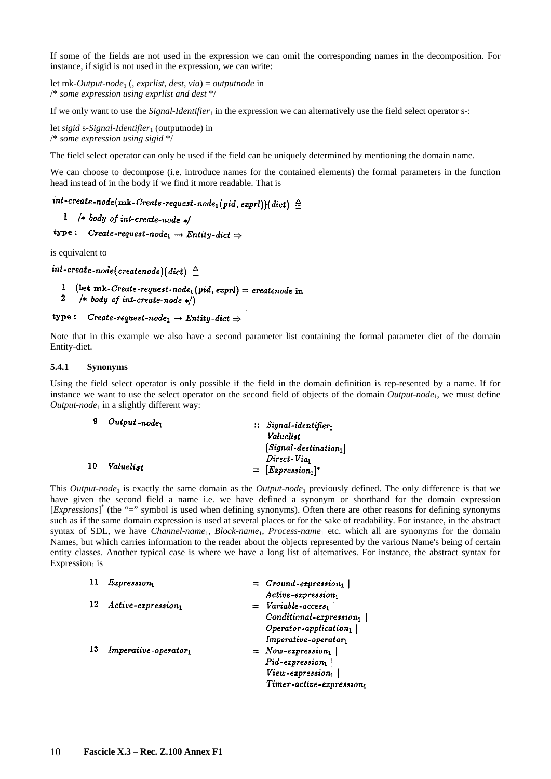If some of the fields are not used in the expression we can omit the corresponding names in the decomposition. For instance, if sigid is not used in the expression, we can write:

let mk-*Output-node*1 (, *exprlist*, *dest*, *via*) = *outputnode* in /\* *some expression using exprlist and dest* \*/

If we only want to use the *Signal-Identifier*<sub>1</sub> in the expression we can alternatively use the field select operator s-:

let *sigid* s-*Signal-Identifier*<sup>1</sup> (outputnode) in /\* *some expression using sigid* \*/

The field select operator can only be used if the field can be uniquely determined by mentioning the domain name.

We can choose to decompose (i.e. introduce names for the contained elements) the formal parameters in the function head instead of in the body if we find it more readable. That is

 $int\text{-}create\text{-}node(mk\text{-}Create\text{-}request\text{-}node_1(pid, expl))(dict) \triangleq$ 

- 1 /\* body of int-create-node \*/
- type: Create-request-node<sub>1</sub>  $\rightarrow$  Entity-dict  $\Rightarrow$

is equivalent to

 $int\text{-}create\text{-}node(createnode)(dict) \triangleq$ 

- 1 (let mk-Create-request-node<sub>1</sub> (pid, exprl) = createnode in
- $\boldsymbol{2}$ /\* body of int-create-node  $*/$

#### type: Create-request-node<sub>1</sub>  $\rightarrow$  Entity-dict  $\Rightarrow$

Note that in this example we also have a second parameter list containing the formal parameter diet of the domain Entity-diet.

#### **5.4.1 Synonyms**

Using the field select operator is only possible if the field in the domain definition is rep-resented by a name. If for instance we want to use the select operator on the second field of objects of the domain *Output-node*1, we must define *Output-node*<sup>1</sup> in a slightly different way:

|     | $Output$ -node <sub>1</sub> | $\therefore$ Signal-identifier, |  |  |
|-----|-----------------------------|---------------------------------|--|--|
|     |                             | Valuelist                       |  |  |
|     |                             | $[Signal\text{-}destination_1]$ |  |  |
|     |                             | $Direct - Via_1$                |  |  |
| -10 | Valueli st                  | $=$ [Expression <sub>1</sub> ]* |  |  |

This *Output-node*1 is exactly the same domain as the *Output-node*1 previously defined. The only difference is that we have given the second field a name i.e. we have defined a synonym or shorthand for the domain expression [*Expressions*]<sup>\*</sup> (the "=" symbol is used when defining synonyms). Often there are other reasons for defining synonyms such as if the same domain expression is used at several places or for the sake of readability. For instance, in the abstract syntax of SDL, we have *Channel-name*1, *Block-name*1, *Process-name*1 etc. which all are synonyms for the domain Names, but which carries information to the reader about the objects represented by the various Name's being of certain entity classes. Another typical case is where we have a long list of alternatives. For instance, the abstract syntax for Expression $<sub>1</sub>$  is</sub>

| -11 | Expression <sub>1</sub>                | $=$ Ground-expression,                 |  |
|-----|----------------------------------------|----------------------------------------|--|
|     |                                        | Active-expression1                     |  |
| 12  | $Active-expression_1$                  | $=$ Variable-access <sub>1</sub>       |  |
|     |                                        | $Conditional$ -expression <sub>1</sub> |  |
|     |                                        | $Operator\text{-}application_1$        |  |
|     |                                        | Imperative-operator1                   |  |
| 13  | $Imperative\operatorname{-}operator_1$ | $=$ Now-expression <sub>1</sub>        |  |
|     |                                        | $Pid$ -expression <sub>1</sub>         |  |
|     |                                        | View-expression1                       |  |
|     |                                        | Timer-active-expressiont               |  |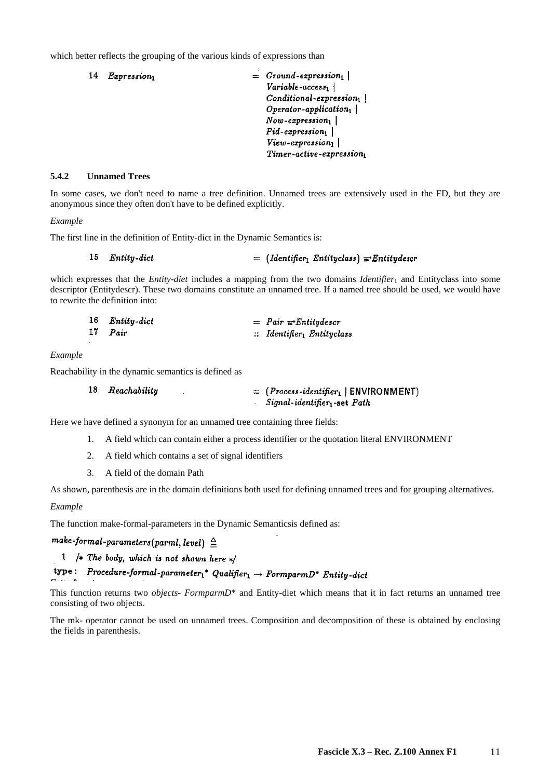which better reflects the grouping of the various kinds of expressions than

|  | <i>Expression</i> | $=$ Ground-expression <sub>1</sub><br>Variable-access |
|--|-------------------|-------------------------------------------------------|
|  |                   | Conditional expression <sub>1</sub>                   |
|  |                   |                                                       |
|  |                   | $Operator\text{-}application_1$                       |
|  |                   | $Now$ -expression <sub>1</sub>                        |
|  |                   | $Pid$ -expression <sub>1</sub>                        |
|  |                   | View-expression <sub>1</sub>                          |
|  |                   | Timer-active-expression1                              |

#### **5.4.2 Unnamed Trees**

In some cases, we don't need to name a tree definition. Unnamed trees are extensively used in the FD, but they are anonymous since they often don't have to be defined explicitly.

#### *Example*

The first line in the definition of Entity-dict in the Dynamic Semantics is:

Entity-dict  $=$  (Identifier<sub>1</sub> Entityclass)  $\Rightarrow$  Entitydescr 15

which expresses that the *Entity-diet* includes a mapping from the two domains *Identifier*<sub>1</sub> and Entityclass into some descriptor (Entitydescr). These two domains constitute an unnamed tree. If a named tree should be used, we would have to rewrite the definition into:

|    | 16 Entity-dict | $=$ Pair $\equiv$ Entitydescr                    |
|----|----------------|--------------------------------------------------|
| 17 | Pair           | $\therefore$ Identifier <sub>1</sub> Entityclass |

#### *Example*

Reachability in the dynamic semantics is defined as

| 18 Reachability | $=$ (Process-identifier <sub>1</sub>   ENVIRONMENT) |
|-----------------|-----------------------------------------------------|
|                 | $Signal\text{-}identity$ <sub>1</sub> -set $Path$   |

Here we have defined a synonym for an unnamed tree containing three fields:

- 1. A field which can contain either a process identifier or the quotation literal ENVIRONMENT
- 2. A field which contains a set of signal identifiers
- 3. A field of the domain Path

As shown, parenthesis are in the domain definitions both used for defining unnamed trees and for grouping alternatives.

#### *Example*

The function make-formal-parameters in the Dynamic Semanticsis defined as:

## make-formal-parameters(parml, level)  $\triangleq$

1 /\* The body, which is not shown here \*/

# type: Procedure-formal-parameter<sub>1</sub><sup>\*</sup> Qualifier<sub>1</sub>  $\rightarrow$  FormparmD<sup>\*</sup> Entity-dict

This function returns two *objects- FormparmD*\* and Entity-diet which means that it in fact returns an unnamed tree consisting of two objects.

The mk- operator cannot be used on unnamed trees. Composition and decomposition of these is obtained by enclosing the fields in parenthesis.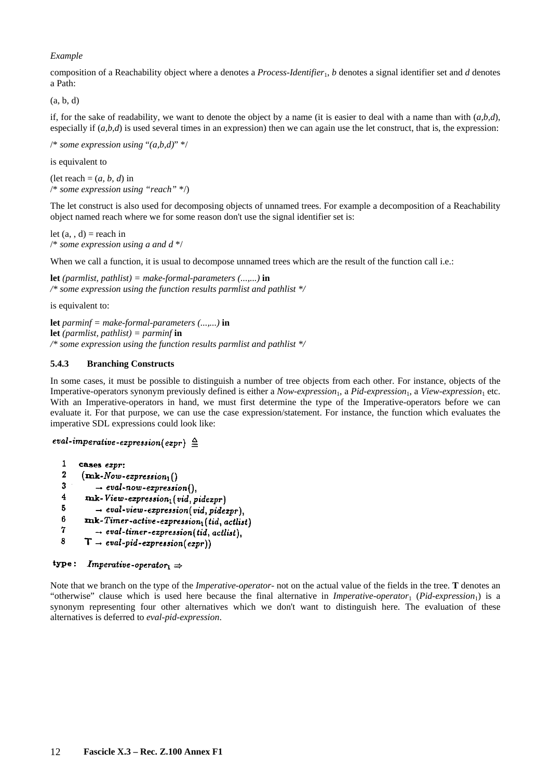## *Example*

composition of a Reachability object where a denotes a *Process-Identifier*1, *b* denotes a signal identifier set and *d* denotes a Path:

(a, b, d)

if, for the sake of readability, we want to denote the object by a name (it is easier to deal with a name than with  $(a, b, d)$ , especially if  $(a,b,d)$  is used several times in an expression) then we can again use the let construct, that is, the expression:

/\* *some expression using* "*(a,b,d)*" \*/

is equivalent to

(let reach  $=(a, b, d)$  in /\* *some expression using "reach"* \*/)

The let construct is also used for decomposing objects of unnamed trees. For example a decomposition of a Reachability object named reach where we for some reason don't use the signal identifier set is:

```
let (a, d) = reach in
/* some expression using a and d */
```
When we call a function, it is usual to decompose unnamed trees which are the result of the function call i.e.:

**let** *(parmlist, pathlist) = make-formal-parameters (...,...)* **in**  */\* some expression using the function results parmlist and pathlist \*/*

is equivalent to:

**let** *parminf = make-formal-parameters (...,...)* **in let** *(parmlist, pathlist) = parminf* **in**  */\* some expression using the function results parmlist and pathlist \*/*

### **5.4.3 Branching Constructs**

In some cases, it must be possible to distinguish a number of tree objects from each other. For instance, objects of the Imperative-operators synonym previously defined is either a *Now-expression*1, a *Pid-expression*1, a *View-expression*1 etc. With an Imperative-operators in hand, we must first determine the type of the Imperative-operators before we can evaluate it. For that purpose, we can use the case expression/statement. For instance, the function which evaluates the imperative SDL expressions could look like:

```
eval-imperative-expression(expr) \triangleq
```

```
\mathbf{1}cases expr:
\ddot{\mathbf{v}}(mk\text{-}Now\text{-}expression_1()\overline{\mathbf{3}}\rightarrow eval-now-expression(),\overline{4}mk-View\text{-}expression_1(\text{vid}, \text{pidezpr})-5
            \rightarrow eval-view-expression(vid, pidexpr),
6
        mk-Timer-active-expression<sub>1</sub>(tid, actlist)
7
            \rightarrow eval-timer-expression(tid, actlist),
8
        T - eval-pid-expression(exp))
```

```
type:
             Imperative-operator<sup>1</sup> \Rightarrow
```
Note that we branch on the type of the *Imperative-operator*- not on the actual value of the fields in the tree. **T** denotes an "otherwise" clause which is used here because the final alternative in *Imperative-operator*<sub>1</sub> (*Pid-expression*<sub>1</sub>) is a synonym representing four other alternatives which we don't want to distinguish here. The evaluation of these alternatives is deferred to *eval-pid-expression*.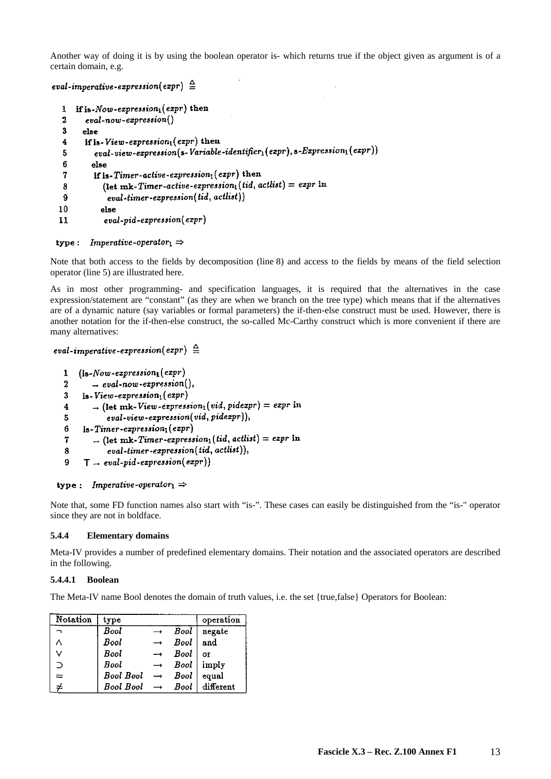Another way of doing it is by using the boolean operator is- which returns true if the object given as argument is of a certain domain, e.g.

```
eval-imperative-expression(expr) \triangleq
```

```
If is-Now-expression<sub>1</sub>(expr) then
 \mathbf{1}\overline{2}eval-now-expression()\overline{\mathbf{3}}else
        if is-View-expression_1(expr) then
 \overline{4}eval-view-expression(s-Variable\ -\ -\ -\ (expr), s-Expression_1(exp))\overline{5}6
           else
           if is-Timer-active-expression_1(exp) then
 \overline{7}(let mk-Timer-active-expression_1(tid, actlist) = expr in
 8
                \left( \textit{eval-time} - \textit{expression}(\textit{tid}, \textit{actlist}) \right)9
10else
               eval-pid-expression(expr)
11
```
## type: Imperative-operator<sub>1</sub>  $\Rightarrow$

Note that both access to the fields by decomposition (line 8) and access to the fields by means of the field selection operator (line 5) are illustrated here.

As in most other programming- and specification languages, it is required that the alternatives in the case expression/statement are "constant" (as they are when we branch on the tree type) which means that if the alternatives are of a dynamic nature (say variables or formal parameters) the if-then-else construct must be used. However, there is another notation for the if-then-else construct, the so-called Mc-Carthy construct which is more convenient if there are many alternatives:

## eval-imperative-expression(expr)  $\triangleq$

```
(is-Now-expression_1(exp)\mathbf{1}\overline{2}\rightarrow eval-now-expression(),
      is-View-expression_1(exp)\overline{\mathbf{3}}\rightarrow (let mk-View-expression<sub>1</sub> (vid, pidexpr) = expr in
\overline{\mathbf{4}}\{eval\text{-}view\text{-}expression(\text{vid}, \text{pidezpr})\},5
6
       is-Timer-expression_1(exp)\rightarrow (let mk-Timer-expression<sub>1</sub>(tid, actlist) = expr in
\overline{7}\big[eval-timer-expression(tid, actlist)),\bf{8}T = eval-pid-expression(exp))9
```
## type: Imperative-operator<sub>1</sub>  $\Rightarrow$

Note that, some FD function names also start with "is-". These cases can easily be distinguished from the "is-" operator since they are not in boldface.

#### **5.4.4 Elementary domains**

Meta-IV provides a number of predefined elementary domains. Their notation and the associated operators are described in the following.

#### **5.4.4.1 Boolean**

The Meta-IV name Bool denotes the domain of truth values, i.e. the set {true,false} Operators for Boolean:

| Notation | type                           |               |                          | operation |
|----------|--------------------------------|---------------|--------------------------|-----------|
|          | Bool                           |               | Bool                     | negate    |
|          | Bool                           |               | <b>Bool</b>              | and       |
| v        | <b>Bool</b>                    |               | <b>Bool</b>              | OF        |
|          | Bool                           |               | $\rightarrow$ Bool imply |           |
|          | <b>Bool Bool</b>               | $\rightarrow$ | Bool                     | equal     |
|          | $Bool$ Bool $\rightarrow$ Bool |               |                          | different |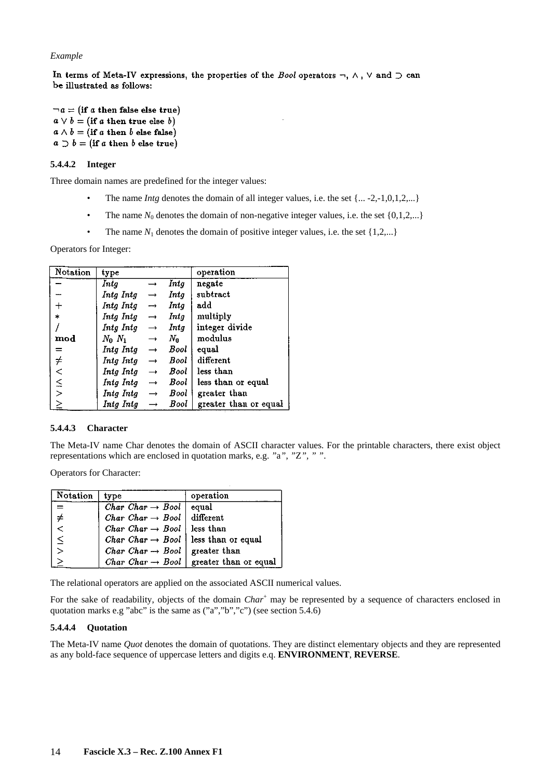### *Example*

In terms of Meta-IV expressions, the properties of the *Bool* operators  $\neg$ ,  $\wedge$ ,  $\vee$  and  $\supset$  can be illustrated as follows:

 $\neg a = (if a then false else true)$  $a \vee b = (if a then true else b)$  $a \wedge b =$  (if a then b else false)  $a \supset b =$  (if a then b else true)

## **5.4.4.2 Integer**

Three domain names are predefined for the integer values:

- The name *Intg* denotes the domain of all integer values, i.e. the set  $\{... -2,-1,0,1,2,...\}$
- The name  $N_0$  denotes the domain of non-negative integer values, i.e. the set  $\{0,1,2,...\}$
- The name  $N_1$  denotes the domain of positive integer values, i.e. the set  $\{1,2,...\}$

Operators for Integer:

| Notation     | type         |                   |       | operation             |
|--------------|--------------|-------------------|-------|-----------------------|
|              | Intg         |                   | Intg  | negate                |
|              | Intg Intg    | $\rightarrow$     | Intg  | subtract              |
| ┿            | Inta Inta    | $\longrightarrow$ | Intq  | add                   |
| $\ast$       | Intg Intg    | $\rightarrow$     | Intg  | multiply              |
|              | Intg Intg    | $\longrightarrow$ | Inta  | integer divide        |
| $_{\rm mod}$ | $N_0$ $N_1$  | $\longrightarrow$ | $N_0$ | modulus               |
| =            | $Intg\ Intg$ | $\rightarrow$     | Bool  | equal                 |
|              | Intg Intg    | $\rightarrow$     | Bool  | different             |
| チくミン         | Inta Inta    | $\rightarrow$     | Bool  | less than             |
|              | Intg Intg    | $\longrightarrow$ | Bool  | less than or equal    |
|              | Intg Intg    | $\rightarrow$     | Bool  | greater than          |
| $\geq$       | Inta Inta    | $\rightarrow$     | Bool  | greater than or equal |

#### **5.4.4.3 Character**

The Meta-IV name Char denotes the domain of ASCII character values. For the printable characters, there exist object representations which are enclosed in quotation marks, e.g. *"*a*"*, *"*Z*", " "*.

Operators for Character:

| Notation | tvpe                                                            | operation             |
|----------|-----------------------------------------------------------------|-----------------------|
| $=$      | <i>Char Char</i> $\rightarrow$ <i>Bool</i>                      | equal                 |
| $\neq$   | <i>Char Char <math>\rightarrow</math> Bool</i> different        |                       |
|          | <i>Char Char</i> $\rightarrow$ <i>Bool</i>                      | less than             |
| $\leq$   | <i>Char Char</i> $\rightarrow$ <i>Bool</i>   less than or equal |                       |
|          | $Char$ Char $\rightarrow$ Bool                                  | greater than          |
|          | <i>Char Char</i> $\rightarrow$ <i>Bool</i>                      | greater than or equal |

The relational operators are applied on the associated ASCII numerical values.

For the sake of readability, objects of the domain *Char*<sup>+</sup> may be represented by a sequence of characters enclosed in quotation marks e.g "abc" is the same as ("a","b","c") (see section 5.4.6)

#### **5.4.4.4 Quotation**

The Meta-IV name *Quot* denotes the domain of quotations. They are distinct elementary objects and they are represented as any bold-face sequence of uppercase letters and digits e.q. **ENVIRONMENT**, **REVERSE**.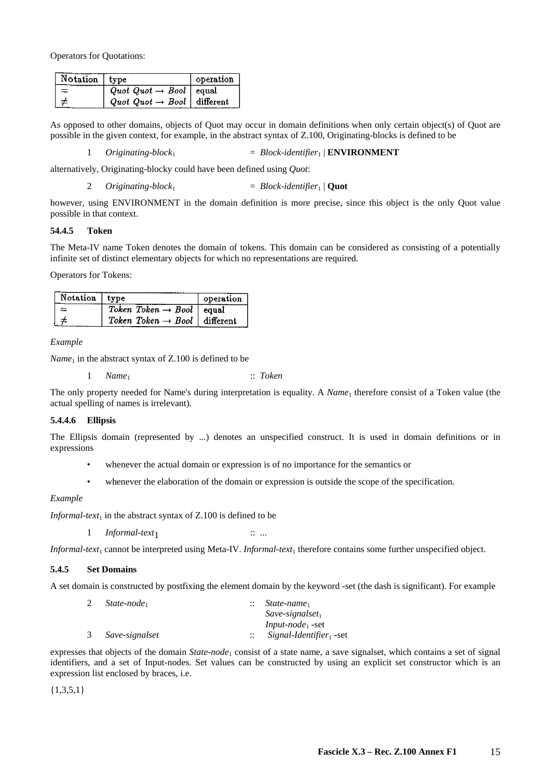Operators for Quotations:

| Notation type |                                          | operation |
|---------------|------------------------------------------|-----------|
|               | Quot Quot $\rightarrow$ Bool   equal     |           |
|               | Quot Quot $\rightarrow$ Bool   different |           |

As opposed to other domains, objects of Quot may occur in domain definitions when only certain object(s) of Quot are possible in the given context, for example, in the abstract syntax of Z.100, Originating-blocks is defined to be

1 *Originating-block*1 = *Block-identifier*1 | **ENVIRONMENT**

alternatively, Originating-blocky could have been defined using *Quot*:

2  $Originaling-block<sub>1</sub>$  = *Block-identifier*<sub>1</sub> | **Quot** 

however, using ENVIRONMENT in the domain definition is more precise, since this object is the only Quot value possible in that context.

#### **54.4.5 Token**

The Meta-IV name Token denotes the domain of tokens. This domain can be considered as consisting of a potentially infinite set of distinct elementary objects for which no representations are required.

Operators for Tokens:

| Notation   type |                                            | operation |
|-----------------|--------------------------------------------|-----------|
|                 | Token Token $\rightarrow$ Bool   equal     |           |
|                 | Token Token $\rightarrow$ Bool   different |           |

*Example* 

 $Name<sub>1</sub>$  in the abstract syntax of  $Z.100$  is defined to be

1 *Name*1 :: *Token*

The only property needed for Name's during interpretation is equality. A *Name*1 therefore consist of a Token value (the actual spelling of names is irrelevant).

#### **5.4.4.6 Ellipsis**

The Ellipsis domain (represented by ...) denotes an unspecified construct. It is used in domain definitions or in expressions

- whenever the actual domain or expression is of no importance for the semantics or
- whenever the elaboration of the domain or expression is outside the scope of the specification.

#### *Example*

*Informal-text*<sub>1</sub> in the abstract syntax of  $Z.100$  is defined to be

1 *Informal-text*<sub>1</sub> :: ...

*Informal-text*<sub>1</sub> cannot be interpreted using Meta-IV. *Informal-text*<sub>1</sub> therefore contains some further unspecified object.

## **5.4.5 Set Domains**

A set domain is constructed by postfixing the element domain by the keyword -set (the dash is significant). For example

| State-node <sub>1</sub> | State-name <sub>1</sub><br>$\mathbb{R}^2$ |
|-------------------------|-------------------------------------------|
|                         | $Save-signalset_1$                        |
|                         | <i>Input-node</i> <sup>1</sup> -set       |
| 3 Save-signalset        | Signal-Identifier set                     |

expresses that objects of the domain *State-node*<sub>1</sub> consist of a state name, a save signalset, which contains a set of signal identifiers, and a set of Input-nodes. Set values can be constructed by using an explicit set constructor which is an expression list enclosed by braces, i.e.

 ${1,3,5,1}$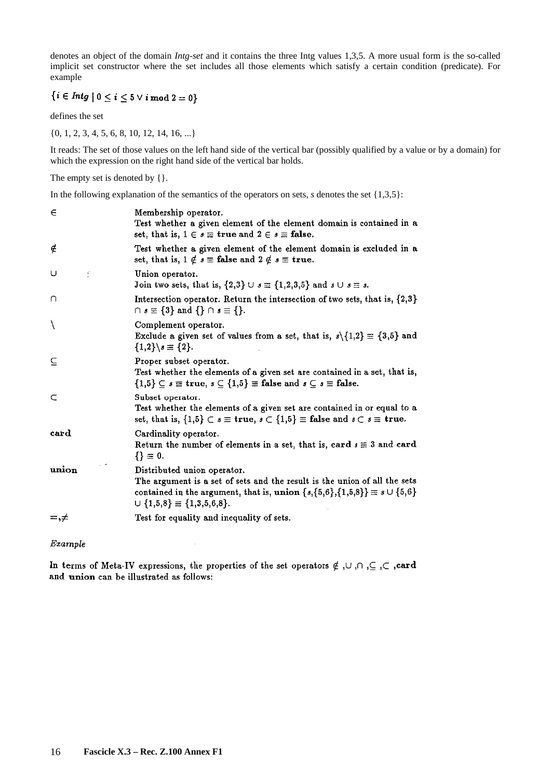denotes an object of the domain *Intg-set* and it contains the three Intg values 1,3,5. A more usual form is the so-called implicit set constructor where the set includes all those elements which satisfy a certain condition (predicate). For example

## $\{i \in Intg \mid 0 \leq i \leq 5 \vee i \bmod 2 = 0\}$

defines the set

{0, 1, 2, 3, 4, 5, 6, 8, 10, 12, 14, 16, ...}

It reads: The set of those values on the left hand side of the vertical bar (possibly qualified by a value or by a domain) for which the expression on the right hand side of the vertical bar holds.

The empty set is denoted by  $\{\}.$ 

In the following explanation of the semantics of the operators on sets, *s* denotes the set {1,3,5}:

| $\in$        | Membership operator.<br>Test whether a given element of the element domain is contained in a<br>set, that is, $1 \in s \equiv$ true and $2 \in s \equiv$ false.                                                                               |
|--------------|-----------------------------------------------------------------------------------------------------------------------------------------------------------------------------------------------------------------------------------------------|
| ∉            | Test whether a given element of the element domain is excluded in a<br>set, that is, $1 \notin s \equiv$ false and $2 \notin s \equiv$ true.                                                                                                  |
| U<br>Ŷ.      | Union operator.<br>Join two sets, that is, $\{2,3\} \cup s \equiv \{1,2,3,5\}$ and $s \cup s \equiv s$ .                                                                                                                                      |
| ∩            | Intersection operator. Return the intersection of two sets, that is, $\{2,3\}$<br>$\cap s \equiv \{3\}$ and $\{\} \cap s \equiv \{\}.$                                                                                                        |
| $\backslash$ | Complement operator.<br>Exclude a given set of values from a set, that is, $s \setminus \{1,2\} \equiv \{3,5\}$ and<br>${1,2}$ $s \equiv {2}.$                                                                                                |
| ⊆            | Proper subset operator.<br>Test whether the elements of a given set are contained in a set, that is,<br>$\{1,5\} \subseteq s \equiv \text{true}, s \subseteq \{1,5\} \equiv \text{false} \text{ and } s \subseteq s \equiv \text{false}.$     |
| C            | Subset operator.<br>Test whether the elements of a given set are contained in or equal to a<br>set, that is, $\{1,5\} \subset s \equiv \textbf{true}, s \subset \{1,5\} \equiv \textbf{false} \text{ and } s \subset s \equiv \textbf{true}.$ |
| card         | Cardinality operator.<br>Return the number of elements in a set, that is, card $s \equiv 3$ and card<br>$\{ \} \equiv 0.$                                                                                                                     |
| union        | Distributed union operator.<br>The argument is a set of sets and the result is the union of all the sets<br>contained in the argument, that is, union $\{s,\{5,6\},\{1,5,8\}\}\equiv s\cup\{5,6\}$<br>$\cup$ {1,5,8} $\equiv$ {1,3,5,6,8}.    |
| $=, \neq$    | Test for equality and inequality of sets.                                                                                                                                                                                                     |
|              |                                                                                                                                                                                                                                               |

Example

In terms of Meta-IV expressions, the properties of the set operators  $\notin$ ,  $\cup$ ,  $\cap$ ,  $\subseteq$ ,  $\subset$ , card and union can be illustrated as follows: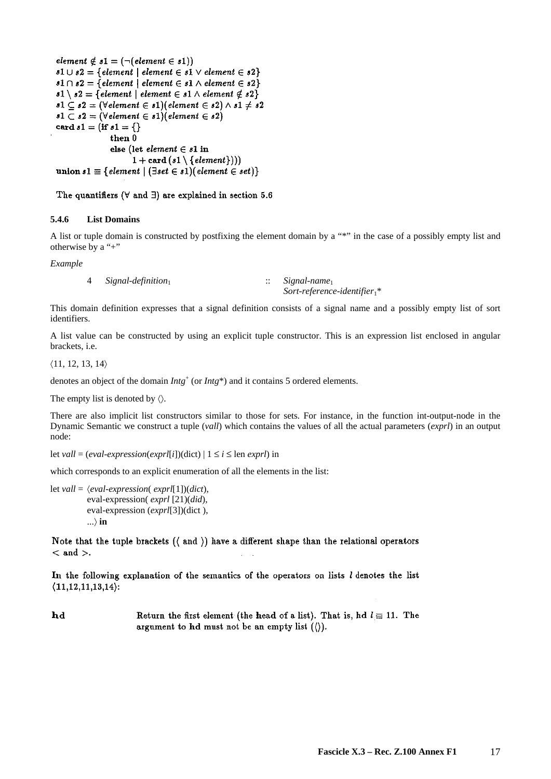```
element \notin s1 = (\neg (element \in s1))s1 \cup s2 = \{ element \mid element \in s1 \lor element \in s2 \}s1 \cap s2 = \{element \mid element \in s1 \land element \in s2\}s1 \setminus s2 = \{ element \mid element \in s1 \land element \notin s2 \}s1 \subseteq s2 = (\forall element \in s1)(element \in s2) \land s1 \neq s2s1 \subset s2 = (\forall element \in s1)(element \in s2)card s1 = (if s1 = \{\}then 0
                  else (let element \in s1 in
                         1 + \text{card}(s1 \setminus \{element\}))union s1 \equiv \{ element \mid (\exists set \in s1)(element \in set)\}\
```
The quantifiers ( $\forall$  and  $\exists$ ) are explained in section 5.6

## **5.4.6 List Domains**

A list or tuple domain is constructed by postfixing the element domain by a "\*" in the case of a possibly empty list and otherwise by a "+"

*Example* 

```
4 Signal-definition<sup>1</sup> :: Signal-name<sup>1</sup>
```
*Sort-reference-identifier*1\*

This domain definition expresses that a signal definition consists of a signal name and a possibly empty list of sort identifiers.

A list value can be constructed by using an explicit tuple constructor. This is an expression list enclosed in angular brackets, i.e.

 $\langle 11, 12, 13, 14 \rangle$ 

denotes an object of the domain *Intg*<sup>+</sup> (or *Intg*<sup>\*</sup>) and it contains 5 ordered elements.

The empty list is denoted by  $\langle \rangle$ .

There are also implicit list constructors similar to those for sets. For instance, in the function int-output-node in the Dynamic Semantic we construct a tuple (*vall*) which contains the values of all the actual parameters (*exprl*) in an output node:

```
let vall = (eval-expression(exprl[i])(dict) | 1 \le i \le len exprl) in
```
which corresponds to an explicit enumeration of all the elements in the list:

```
let vall = 〈eval-expression( exprl[1])(dict), 
           eval-expression( exprl [21)(did), 
           eval-expression (exprl[3])(dict ), 
           ...〉 in
```
Note that the tuple brackets  $(\langle$  and  $\rangle)$  have a different shape than the relational operators  $<$  and  $>$ .

In the following explanation of the semantics of the operators on lists I denotes the list  $(11, 12, 11, 13, 14)$ :

hd Return the first element (the head of a list). That is, hd  $l \equiv 11$ . The argument to hd must not be an empty list  $( \langle \rangle ).$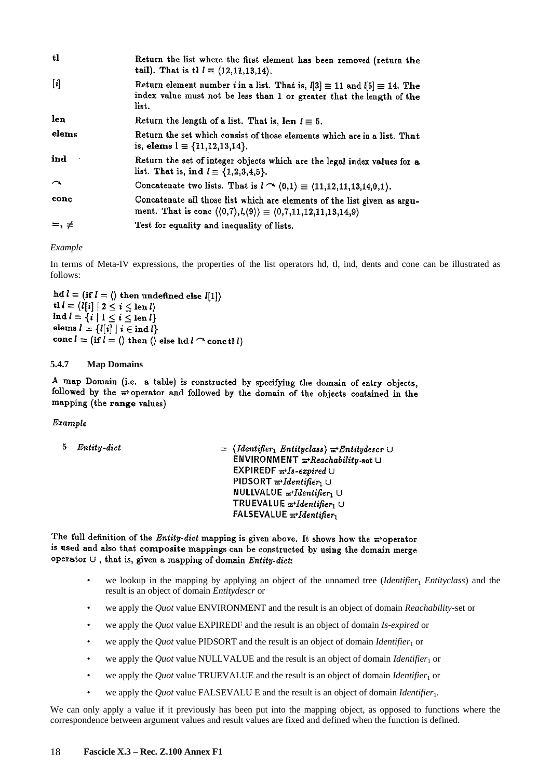| tl                      | Return the list where the first element has been removed (return the<br>tail). That is th $l \equiv (12, 11, 13, 14)$ .                                                          |
|-------------------------|----------------------------------------------------------------------------------------------------------------------------------------------------------------------------------|
|                         | Return element number <i>i</i> in a list. That is, $l[3] \equiv 11$ and $l[5] \equiv 14$ . The<br>index value must not be less than 1 or greater that the length of the<br>list. |
| len                     | Return the length of a list. That is, len $l \equiv 5$ .                                                                                                                         |
| elems                   | Return the set which consist of those elements which are in a list. That<br>is, elems $l \equiv \{11, 12, 13, 14\}.$                                                             |
| ind                     | Return the set of integer objects which are the legal index values for a<br>list. That is, ind $l \equiv \{1, 2, 3, 4, 5\}.$                                                     |
| $\widehat{\phantom{1}}$ | Concatenate two lists. That is $l \to (0,1) \equiv (11,12,11,13,14,0,1)$ .                                                                                                       |
| conc                    | Concatenate all those list which are elements of the list given as argu-<br>ment. That is conc $\langle (0,7), l, (9) \rangle \equiv \langle 0,7,11,12,11,13,14,9 \rangle$       |
| $=, \neq$               | Test for equality and inequality of lists.                                                                                                                                       |

*Example* 

In terms of Meta-IV expressions, the properties of the list operators hd, tl, ind, dents and cone can be illustrated as follows:

hd  $l = (if l = \langle) then undefined else l[1]$ tl  $l = \langle l[i] | 2 \leq i \leq \text{len } l \rangle$ ind  $l = \{i \mid 1 \leq i \leq \operatorname{len} l\}$ elems  $l = \{l[i] | i \in \text{ind } l\}$ conc  $l = (if l = \langle \rangle then \langle \rangle$  else hd  $l \cap$  conctl  $l$ )

## **5.4.7 Map Domains**

A map Domain (i.e. a table) is constructed by specifying the domain of entry objects, followed by the  $\frac{1}{m}$  operator and followed by the domain of the objects contained in the mapping (the range values)

Example

```
5 Entity-dict
                                                         = (Identifier<sub>1</sub> Entityclass) \vec{r}Entitydescr \cupENVIRONMENT \frac{1}{m}Reachability-set \cupEXPIREDF \overrightarrow{m} Is-expired \cupPIDSORT \mathbf{F}<sup>1</sup>dentifier<sub>1</sub> U
                                                              NULLVALUE \overline{m}Identifier<sub>1</sub> U
                                                              TRUEVALUE \mathbf{w}-Identifier, U
                                                             FALSEVALUE \overline{m}Identifier
```
The full definition of the *Entity-dict* mapping is given above. It shows how the  $\pi$ -operator is used and also that composite mappings can be constructed by using the domain merge operator  $\cup$ , that is, given a mapping of domain Entity-dict:

- we lookup in the mapping by applying an object of the unnamed tree (*Identifier*<sup>1</sup> *Entityclass*) and the result is an object of domain *Entitydescr* or
- we apply the *Quot* value ENVIRONMENT and the result is an object of domain *Reachability*-set or
- we apply the *Quot* value EXPIREDF and the result is an object of domain *Is-expired* or
- we apply the *Quot* value PIDSORT and the result is an object of domain *Identifier*<sup>1</sup> or
- we apply the *Quot* value NULLVALUE and the result is an object of domain *Identifier*1 or
- we apply the *Quot* value TRUEVALUE and the result is an object of domain *Identifier*1 or
- we apply the *Quot* value FALSEVALU E and the result is an object of domain *Identifier*1.

We can only apply a value if it previously has been put into the mapping object, as opposed to functions where the correspondence between argument values and result values are fixed and defined when the function is defined.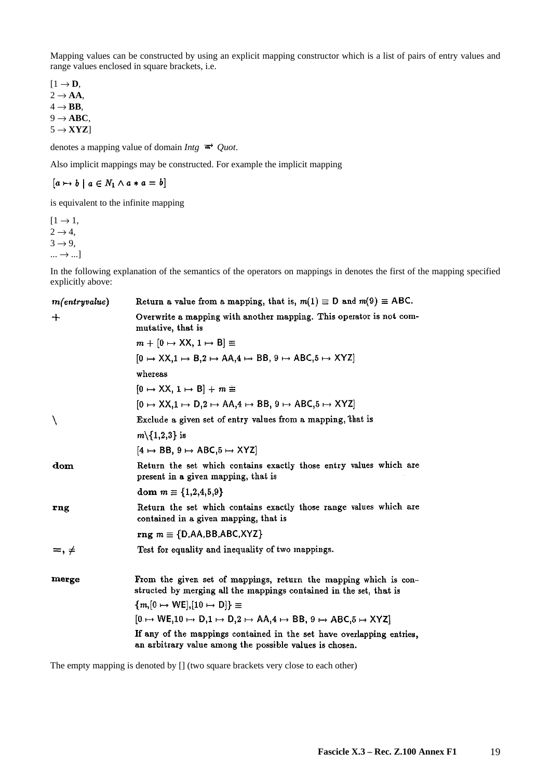Mapping values can be constructed by using an explicit mapping constructor which is a list of pairs of entry values and range values enclosed in square brackets, i.e.

 $[1 \rightarrow \mathbf{D},$  $2 \rightarrow AA$ ,  $4 \rightarrow$ **BB**,  $9 \rightarrow \text{ABC}$ ,  $5 \rightarrow$ **XYZ**]

denotes a mapping value of domain *Intg*  $\vec{r}$  *Quot*.

Also implicit mappings may be constructed. For example the implicit mapping

 $[a \mapsto b \mid a \in N_1 \wedge a * a = b]$ 

is equivalent to the infinite mapping

 $[1 \rightarrow 1,$  $2 \rightarrow 4$ ,  $3 \rightarrow 9$ ,  $\ldots \rightarrow \ldots$ ]

In the following explanation of the semantics of the operators on mappings in denotes the first of the mapping specified explicitly above:

| m(entry value) | Return a value from a mapping, that is, $m(1) \equiv D$ and $m(9) \equiv ABC$ .                                                        |
|----------------|----------------------------------------------------------------------------------------------------------------------------------------|
| $\div$         | Overwrite a mapping with another mapping. This operator is not com-<br>mutative, that is                                               |
|                | $m + [0 \mapsto XX, 1 \mapsto B] \equiv$                                                                                               |
|                | $[0 \mapsto$ XX,1 $\mapsto$ B,2 $\mapsto$ AA,4 $\mapsto$ BB, 9 $\mapsto$ ABC,5 $\mapsto$ XYZ                                           |
|                | whereas                                                                                                                                |
|                | $[0 \mapsto XX, 1 \mapsto B] + m \equiv$                                                                                               |
|                | $[0 \mapsto XX, 1 \mapsto D, 2 \mapsto AA, 4 \mapsto BB, 9 \mapsto ABC, 5 \mapsto XYZ]$                                                |
| ∖              | Exclude a given set of entry values from a mapping, that is                                                                            |
|                | $m\setminus\{1,2,3\}$ is                                                                                                               |
|                | $[4 \mapsto BB, 9 \mapsto ABC, 5 \mapsto XYZ]$                                                                                         |
| dom            | Return the set which contains exactly those entry values which are<br>present in a given mapping, that is                              |
|                | dom $m \equiv \{1,2,4,5,9\}$                                                                                                           |
| rng            | Return the set which contains exactly those range values which are<br>contained in a given mapping, that is                            |
|                | rng $m \equiv \{D,AA,BB,ABC,XYZ\}$                                                                                                     |
| $=, \neq$      | Test for equality and inequality of two mappings.                                                                                      |
| merge          | From the given set of mappings, return the mapping which is con-<br>structed by merging all the mappings contained in the set, that is |
|                | ${m,[0 \mapsto \text{WE}],[10 \mapsto \text{D}]}\equiv$                                                                                |
|                | $[0 \mapsto \text{WE}, 10 \mapsto D, 1 \mapsto D, 2 \mapsto AA, 4 \mapsto BB, 9 \mapsto ABC, 5 \mapsto XYZ]$                           |
|                | If any of the mappings contained in the set have overlapping entries,<br>an arbitrary value among the possible values is chosen.       |

The empty mapping is denoted by [] (two square brackets very close to each other)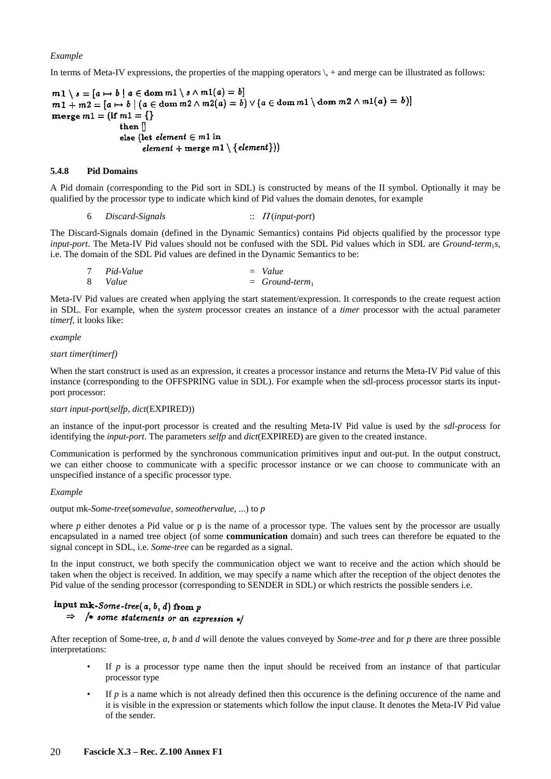## *Example*

In terms of Meta-IV expressions, the properties of the mapping operators  $\lambda +$  and merge can be illustrated as follows:

 $m1 \setminus s = [a \mapsto b \mid a \in \text{dom } m1 \setminus s \wedge m1(a) = b]$  $m_1 \setminus s = [a \mapsto b]$   $a \in \text{dom } m_1 \setminus s \land m_1(a) = b$ <br> $m_1 + m_2 = [a \mapsto b]$   $(a \in \text{dom } m_2 \land m_2(a) = b) \lor (a \in \text{dom } m_1 \setminus \text{dom } m_2 \land m_1(a) = b)]$ merge  $m1 = \{if m1 = \{\}\}$ then  $\parallel$ else (let element  $\in$  m1 in  $\hat{P}$  element + merge m1 \{element}))

#### **5.4.8 Pid Domains**

A Pid domain (corresponding to the Pid sort in SDL) is constructed by means of the II symbol. Optionally it may be qualified by the processor type to indicate which kind of Pid values the domain denotes, for example

6 *Discard-Signals* :: Π (*input-port*)

The Discard-Signals domain (defined in the Dynamic Semantics) contains Pid objects qualified by the processor type *input-port*. The Meta-IV Pid values should not be confused with the SDL Pid values which in SDL are *Ground-term*1*s*, i.e. The domain of the SDL Pid values are defined in the Dynamic Semantics to be:

| 7 Pid-Value | $=$ Value       |
|-------------|-----------------|
| 8 Value     | $=$ Ground-term |

Meta-IV Pid values are created when applying the start statement/expression. It corresponds to the create request action in SDL. For example, when the *system* processor creates an instance of a *timer* processor with the actual parameter *timerf*, it looks like:

#### *example*

#### *start timer(timerf)*

When the start construct is used as an expression, it creates a processor instance and returns the Meta-IV Pid value of this instance (corresponding to the OFFSPRING value in SDL). For example when the sdl-process processor starts its inputport processor:

#### *start input-port*(*selfp, dict*(EXPIRED))

an instance of the input-port processor is created and the resulting Meta-IV Pid value is used by the *sdl-process* for identifying the *input-port*. The parameters *selfp* and *dict*(EXPIRED) are given to the created instance.

Communication is performed by the synchronous communication primitives input and out-put. In the output construct, we can either choose to communicate with a specific processor instance or we can choose to communicate with an unspecified instance of a specific processor type.

#### *Example*

output mk-*Some-tree*(*somevalue, someothervalue*, ...) to *p*

where *p* either denotes a Pid value or p is the name of a processor type. The values sent by the processor are usually encapsulated in a named tree object (of some **communication** domain) and such trees can therefore be equated to the signal concept in SDL, i.e. *Some-tree* can be regarded as a signal.

In the input construct, we both specify the communication object we want to receive and the action which should be taken when the object is received. In addition, we may specify a name which after the reception of the object denotes the Pid value of the sending processor (corresponding to SENDER in SDL) or which restricts the possible senders i.e.

## input mk-Some-tree( $a, b, d$ ) from  $p$  $\Rightarrow$  /\* some statements or an expression \*/

After reception of Some-tree, *a*, *b* and *d* will denote the values conveyed by *Some-tree* and for *p* there are three possible interpretations:

- If  $p$  is a processor type name then the input should be received from an instance of that particular processor type
- If  $p$  is a name which is not already defined then this occurence is the defining occurence of the name and it is visible in the expression or statements which follow the input clause. It denotes the Meta-IV Pid value of the sender.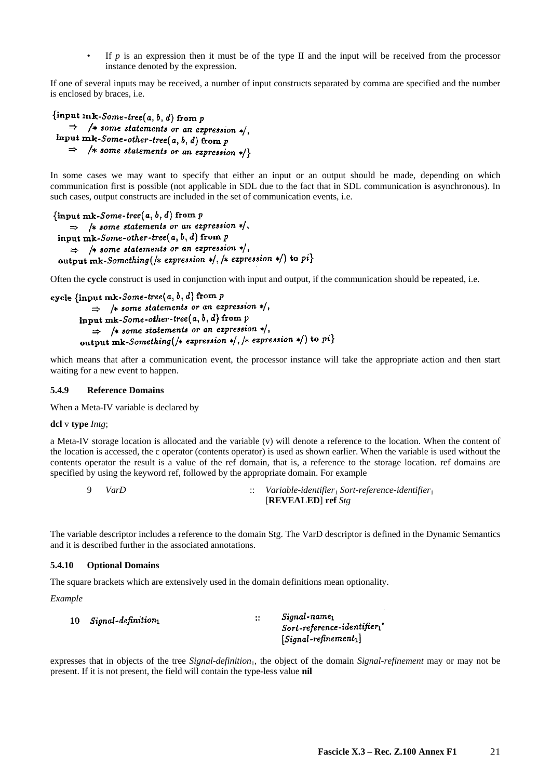If  $p$  is an expression then it must be of the type II and the input will be received from the processor instance denoted by the expression.

If one of several inputs may be received, a number of input constructs separated by comma are specified and the number is enclosed by braces, i.e.

```
{input mk-Some-tree(a, b, d) from p\Rightarrow /* some statements or an expression */,
input mk-Some-other-tree(a, b, d) from p
    \Rightarrow /* some statements or an expression */}
```
In some cases we may want to specify that either an input or an output should be made, depending on which communication first is possible (not applicable in SDL due to the fact that in SDL communication is asynchronous). In such cases, output constructs are included in the set of communication events, i.e.

```
\{ \text{input mk-Some-tree}(a, b, d) \text{ from } p \}\Rightarrow /* some statements or an expression */,
input mk-Some-other-tree(a, b, d) from p
    \Rightarrow /* some statements or an expression */,
output mk-Something(/* expression */, /* expression */) to pi}
```
Often the **cycle** construct is used in conjunction with input and output, if the communication should be repeated, i.e.

```
cycle \{ \text{input mk-} Some-tree(a, b, d) \text{ from } p \}\Rightarrow /* some statements or an expression */,
        input mk-Some-other-tree(a, b, d) from p
           \Rightarrow /* some statements or an expression */,
        output mk-Something(/* expression */, /* expression */) to pi}
```
which means that after a communication event, the processor instance will take the appropriate action and then start waiting for a new event to happen.

## **5.4.9 Reference Domains**

When a Meta-IV variable is declared by

#### **dcl** v **type** *Intg*;

a Meta-IV storage location is allocated and the variable (v) will denote a reference to the location. When the content of the location is accessed, the c operator (contents operator) is used as shown earlier. When the variable is used without the contents operator the result is a value of the ref domain, that is, a reference to the storage location. ref domains are specified by using the keyword ref, followed by the appropriate domain. For example

 9 *VarD* :: *Variable-identifier*1 *Sort-reference-identifier*<sup>1</sup> [**REVEALED**] **ref** *Stg*

The variable descriptor includes a reference to the domain Stg. The VarD descriptor is defined in the Dynamic Semantics and it is described further in the associated annotations.

#### **5.4.10 Optional Domains**

The square brackets which are extensively used in the domain definitions mean optionality.

*Example* 

| 10 | $Signal\text{-}definition_1$ | Signal-name <sub>1</sub><br>$\ddot{\phantom{1}}$    |  |
|----|------------------------------|-----------------------------------------------------|--|
|    |                              | $Sort\text{-}reference\text{-}identity\text{-}r_1"$ |  |
|    |                              | $[Signal-refinement]$                               |  |

expresses that in objects of the tree *Signal-definition*1, the object of the domain *Signal-refinement* may or may not be present. If it is not present, the field will contain the type-less value **nil**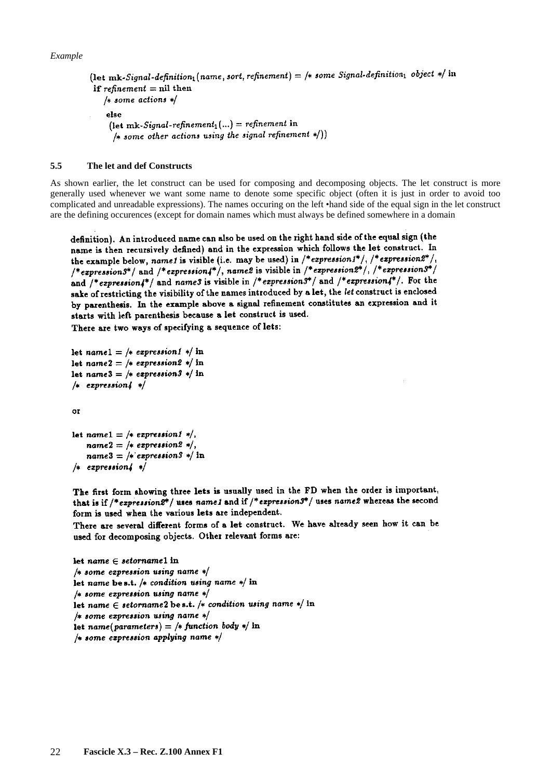```
(let mk-Signal-definition<sub>1</sub> (name, sort, refinement) = /* some Signal-definition<sub>1</sub> object */ in
if refinement = nil then
   /* some actions */else
     (let mk-Signal-refinement<sub>1</sub>(...) = refinement in
      /* some other actions using the signal refinement */))
```
### **5.5 The let and def Constructs**

As shown earlier, the let construct can be used for composing and decomposing objects. The let construct is more generally used whenever we want some name to denote some specific object (often it is just in order to avoid too complicated and unreadable expressions). The names occuring on the left •hand side of the equal sign in the let construct are the defining occurences (except for domain names which must always be defined somewhere in a domain

definition). An introduced name can also be used on the right hand side of the equal sign (the name is then recursively defined) and in the expression which follows the let construct. In the example below, name1 is visible (i.e. may be used) in  $/*$  expression1\*/,  $/*$  expression2\*/, /\*expression3\*/ and /\*expression4\*/, name2 is visible in /\*expression2\*/, /\*expression3\*/ and  $/*expression_{4}^{*}/$  and names is visible in  $/*expression3^{*}/$  and  $/*expression4^{*}/$ . For the sake of restricting the visibility of the names introduced by a let, the let construct is enclosed by parenthesis. In the example above a signal refinement constitutes an expression and it starts with left parenthesis because a let construct is used.

There are two ways of specifying a sequence of lets:

```
let namel = /* expression1 */ in
let name 2 = \frac{1}{2} expression 2 \frac{1}{2} in
let name 3 = \frac{1}{2} expression 3 \frac{1}{2} in
/* expression 4*/
```
or

```
let namel = /* expression1 */,
   name2 = /* expression2 */,
   name3 = /* expression3 */ in
/* expression \frac{1}{4} */
```
The first form showing three lets is usually used in the FD when the order is important, that is if  $/*$  expression  $2^*/$  uses name1 and if  $/*$  expression  $3^*/$  uses name2 whereas the second form is used when the various lets are independent.

There are several different forms of a let construct. We have already seen how it can be used for decomposing objects. Other relevant forms are:

```
let name \in setornamel in
/* some expression using name */let name be s.t. /* condition using name */ in
/* some expression using name */let name \in setorname2 be s.t. /* condition using name */ in
/* some expression using name */let name(parameters) = /* function body */ in
/* some expression applying name */
```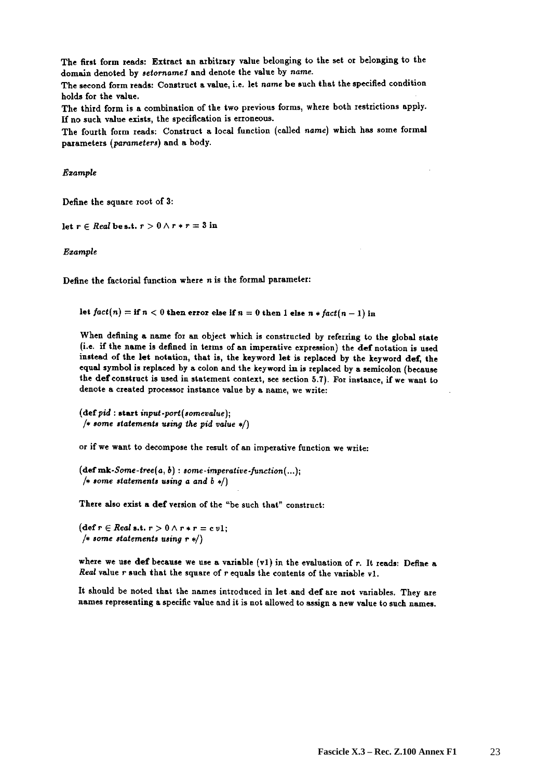The first form reads: Extract an arbitrary value belonging to the set or belonging to the domain denoted by setorname1 and denote the value by name.

The second form reads: Construct a value, i.e. let name be such that the specified condition holds for the value.

The third form is a combination of the two previous forms, where both restrictions apply. If no such value exists, the specification is erroneous.

The fourth form reads: Construct a local function (called name) which has some formal parameters (parameters) and a body.

Example

Define the square root of 3:

let  $r \in Real$  be s.t.  $r > 0 \wedge r * r = 3$  in

Ezample

Define the factorial function where  $n$  is the formal parameter:

let  $fact(n) = if n < 0$  then error else if  $n = 0$  then 1 else  $n * fact(n - 1)$  in

When defining a name for an object which is constructed by referring to the global state (i.e. if the name is defined in terms of an imperative expression) the def notation is used instead of the let notation, that is, the keyword let is replaced by the keyword def, the equal symbol is replaced by a colon and the keyword in is replaced by a semicolon (because the def construct is used in statement context, see section 5.7). For instance, if we want to denote a created processor instance value by a name, we write:

 $(\text{def }pid: \text{start } input\text{-}port(somevaluate);$ /\* some statements using the pid value  $*/$ 

or if we want to decompose the result of an imperative function we write:

 $(\text{def mk-Some-tree}(a, b): some-imperative-function(...);$ /\* some statements using a and  $b *$ /)

There also exist a def version of the "be such that" construct:

 $(\text{def } r \in Real \text{ s.t. } r > 0 \land r * r = c v1;$ /\* some statements using  $r*/$ 

where we use def because we use a variable  $(v1)$  in the evaluation of r. It reads: Define a Real value  $r$  such that the square of  $r$  equals the contents of the variable v1.

It should be noted that the names introduced in let and def are not variables. They are names representing a specific value and it is not allowed to assign a new value to such names.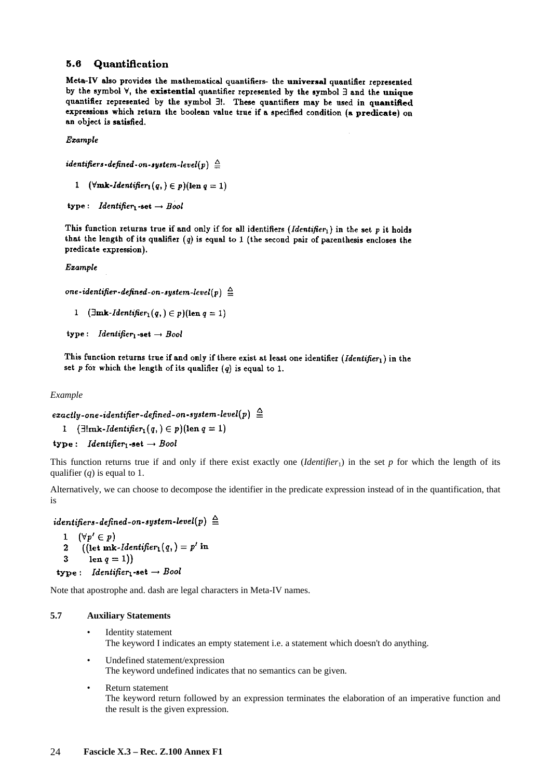#### Quantification 5.6

Meta-IV also provides the mathematical quantifiers- the universal quantifier represented by the symbol  $\forall$ , the existential quantifier represented by the symbol  $\exists$  and the unique quantifier represented by the symbol E. These quantifiers may be used in quantified expressions which return the boolean value true if a specified condition (a predicate) on an object is satisfied.

Example

identifiers-defined-on-system-level(p)  $\triangleq$ 

1  $(\forall m\mathbf{k}\text{-}Identity) \in p)(\text{len } q = 1)$ 

```
type: Identifier<sub>1</sub>-set \rightarrow Bool
```
This function returns true if and only if for all identifiers (Identifier<sub>1</sub>) in the set p it holds that the length of its qualifier  $(q)$  is equal to 1 (the second pair of parenthesis encloses the predicate expression).

Example

one-identifier-defined-on-system-level(p)  $\triangleq$ 

```
1 (\exists m\mathbf{k}\text{-}Identity(\mathbf{q},\mathbf{r})) (len q=1)
```
type: *Identifier*<sup>1</sup>-set  $\rightarrow$  *Bool* 

This function returns true if and only if there exist at least one identifier (Identifier1) in the set  $p$  for which the length of its qualifier  $(q)$  is equal to 1.

*Example* 

```
exactly-one-identifier-defined-on-system-level(p) \triangleq
```

```
1 (\exists!mk\text{-}Identityer_1(q)) \in p)(\text{len } q = 1)
```

```
type: Identifier<sub>1</sub>-set \rightarrow Bool
```
This function returns true if and only if there exist exactly one *(Identifier<sub>1</sub>)* in the set *p* for which the length of its qualifier (*q*) is equal to 1.

Alternatively, we can choose to decompose the identifier in the predicate expression instead of in the quantification, that is

identifiers-defined-on-system-level(p)  $\triangleq$ 

```
1 (\forall p' \in p)((let m k-Identity for_1(q)) = p' in\overline{\mathbf{2}}len q = 1)
  \mathbf{R}type: Identifier<sub>1</sub>-set \rightarrow Bool
```
Note that apostrophe and. dash are legal characters in Meta-IV names.

## **5.7 Auxiliary Statements**

- Identity statement The keyword I indicates an empty statement i.e. a statement which doesn't do anything.
- Undefined statement/expression The keyword undefined indicates that no semantics can be given.
- Return statement The keyword return followed by an expression terminates the elaboration of an imperative function and the result is the given expression.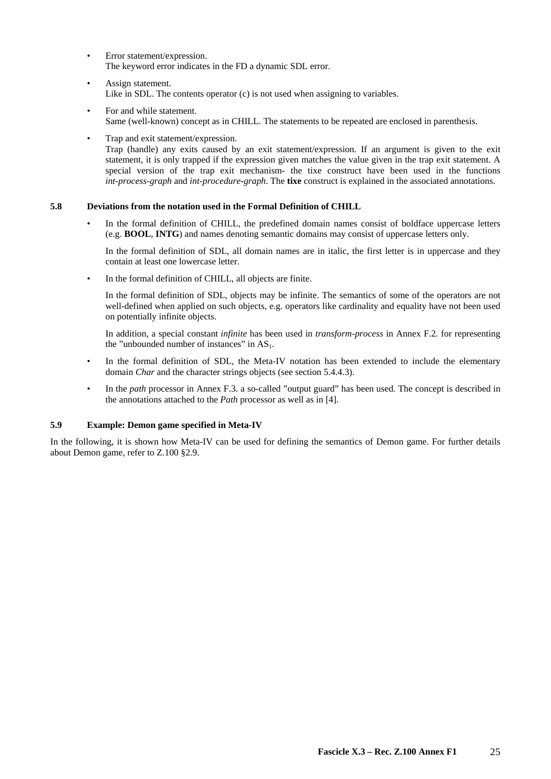- Error statement/expression. The keyword error indicates in the FD a dynamic SDL error.
- Assign statement. Like in SDL. The contents operator (c) is not used when assigning to variables.
- For and while statement. Same (well-known) concept as in CHILL. The statements to be repeated are enclosed in parenthesis.
- Trap and exit statement/expression. Trap (handle) any exits caused by an exit statement/expression. If an argument is given to the exit statement, it is only trapped if the expression given matches the value given in the trap exit statement. A special version of the trap exit mechanism- the tixe construct have been used in the functions *int-process-graph* and *int-procedure-graph*. The **tixe** construct is explained in the associated annotations.

## **5.8 Deviations from the notation used in the Formal Definition of CHILL**

In the formal definition of CHILL, the predefined domain names consist of boldface uppercase letters (e.g. **BOOL**, **INTG**) and names denoting semantic domains may consist of uppercase letters only.

 In the formal definition of SDL, all domain names are in italic, the first letter is in uppercase and they contain at least one lowercase letter.

In the formal definition of CHILL, all objects are finite.

 In the formal definition of SDL, objects may be infinite. The semantics of some of the operators are not well-defined when applied on such objects, e.g. operators like cardinality and equality have not been used on potentially infinite objects.

 In addition, a special constant *infinite* has been used in *transform-process* in Annex F.2. for representing the "unbounded number of instances" in  $AS<sub>1</sub>$ .

- In the formal definition of SDL, the Meta-IV notation has been extended to include the elementary domain *Char* and the character strings objects (see section 5.4.4.3).
- In the *path* processor in Annex F.3. a so-called "output guard" has been used. The concept is described in the annotations attached to the *Path* processor as well as in [4].

## **5.9 Example: Demon game specified in Meta-IV**

In the following, it is shown how Meta-IV can be used for defining the semantics of Demon game. For further details about Demon game, refer to Z.100 §2.9.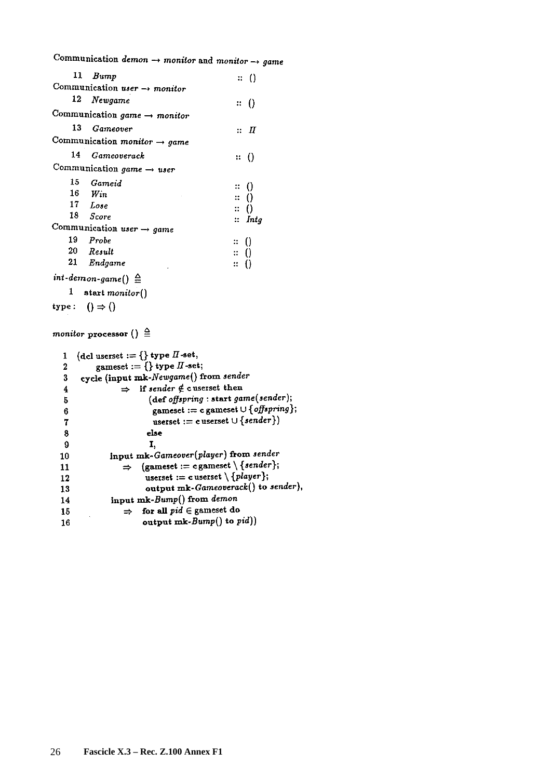Communication demon  $\rightarrow$  monitor and monitor  $\rightarrow$  game

|     | 11 $Bump$                                   | $\mathbb{R}^+$ ()   |
|-----|---------------------------------------------|---------------------|
|     | Communication user $\rightarrow$ monitor    |                     |
|     | 12 Newgame                                  | $\mathbb{R}^{+}(1)$ |
|     | Communication game $\rightarrow$ monitor    |                     |
| 13. | Gameover                                    | $\colon \; I\!\! I$ |
|     | Communication monitor $\rightarrow$ game    |                     |
|     | 14 Gameoverack                              | ::( )               |
|     | Communication game $\rightarrow$ user       |                     |
|     | 15 Gameid                                   | $\colon$ ()         |
|     | $16$ Win                                    | $\mathbb{R}$ ()     |
|     | 17 Lose                                     | $\colon ( )$        |
|     | 18 Score                                    | $\therefore$ Intg   |
|     | Communication user $\rightarrow$ game       |                     |
|     | 19 Probe                                    | $\mathbb{R}^{n}$ () |
|     | 20 Result                                   | $\colon$ ()         |
|     | 21 Endgame                                  | :: {}               |
|     | $int\text{-}demon\text{-}game() \triangleq$ |                     |

 $1$  start monitor()

type:  $() \Rightarrow ()$ 

# monitor processor ()  $\triangleq$

|    | (dcl userset := {} type $\Pi$ -set,                          |
|----|--------------------------------------------------------------|
| 2  | gameset := {} type $\Pi$ -set;                               |
| 3  | cycle (input mk-Newgame() from sender                        |
| 4  | $\Rightarrow$ if sender $\notin$ cuserset then               |
| 5  | $(\text{def offspring}: \text{start game}(\text{sender});$   |
| 6  | gameset := c gameset $\cup$ { offspring };                   |
| 7  | userset := c userset $\cup$ {sender})                        |
| 8  | else                                                         |
| 9  | I,                                                           |
| 10 | input mk-Gameover(player) from sender                        |
| 11 | (gameset := c gameset $\setminus$ {sender};<br>$\Rightarrow$ |
| 12 | userset := c userset $\setminus \{player\};$                 |
| 13 | output mk-Gameoverack() to sender),                          |
| 14 | input mk-Bump() from demon                                   |
| 15 | for all $pid \in$ gameset do<br>$\Rightarrow$                |
| 16 | output $mk-Bump()$ to $pid()$                                |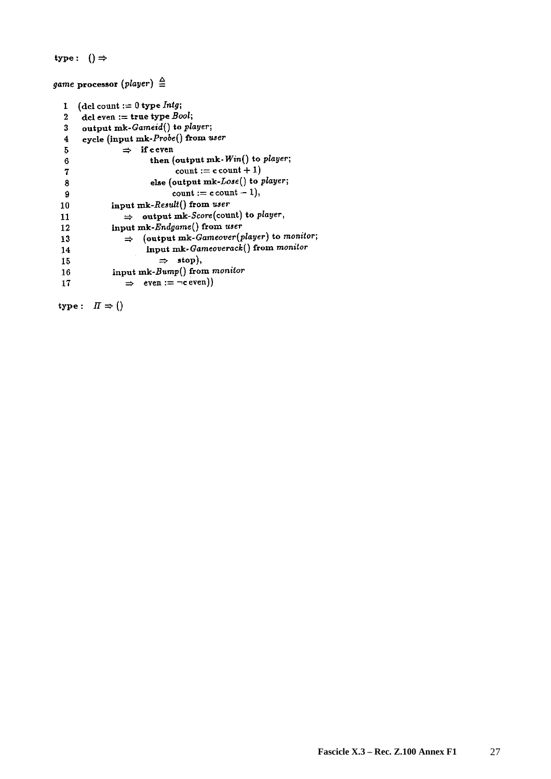```
type: () \Rightarrow
```
game processor (player)  $\triangleq$ 

| 1  | (del count := 0 type $Intg$ ;                         |  |
|----|-------------------------------------------------------|--|
| 2  | del even := true type $Bool$ ;                        |  |
| 3  | output mk-Gameid() to player;                         |  |
| 4  | cycle (input mk-Probe() from user                     |  |
| 5  | $\Rightarrow$ if ceven                                |  |
| 6  | then (output mk-Win() to player;                      |  |
| 7  | $\text{count} := \text{c count} + 1$                  |  |
| 8  | else (output mk-Lose() to player;                     |  |
| 9  | $\text{count} := \text{count} - 1,$                   |  |
| 10 | input mk-Result() from user                           |  |
| 11 | $\Rightarrow$ output mk-Score(count) to player,       |  |
| 12 | input mk-Endgame() from user                          |  |
| 13 | $\Rightarrow$ (output mk-Gameover(player) to monitor; |  |
| 14 | input mk-Gameoverack() from monitor                   |  |
| 15 | $\Rightarrow$ stop),                                  |  |
| 16 | input mk-Bump() from monitor                          |  |
| 17 | $\Rightarrow$ even := - ceven))                       |  |

type:  $\Pi \Rightarrow ()$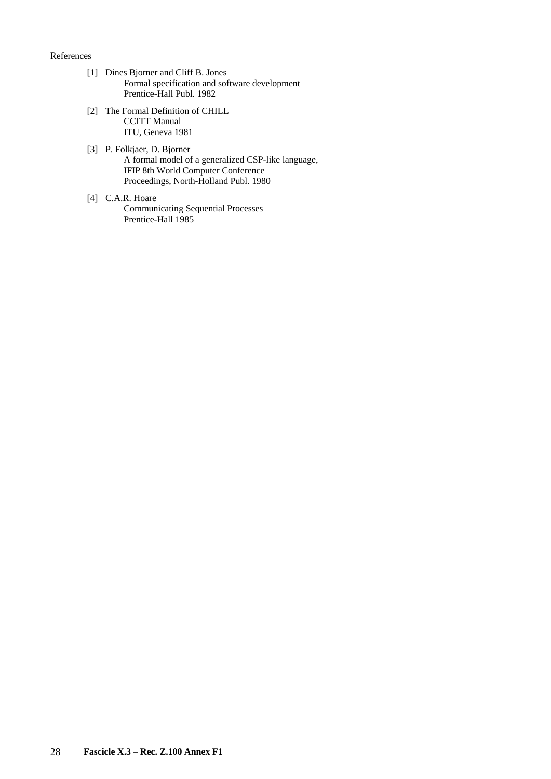## **References**

- [1] Dines Bjorner and Cliff B. Jones Formal specification and software development Prentice-Hall Publ. 1982
- [2] The Formal Definition of CHILL CCITT Manual ITU, Geneva 1981
- [3] P. Folkjaer, D. Bjorner A formal model of a generalized CSP-like language, IFIP 8th World Computer Conference Proceedings, North-Holland Publ. 1980
- [4] C.A.R. Hoare Communicating Sequential Processes Prentice-Hall 1985